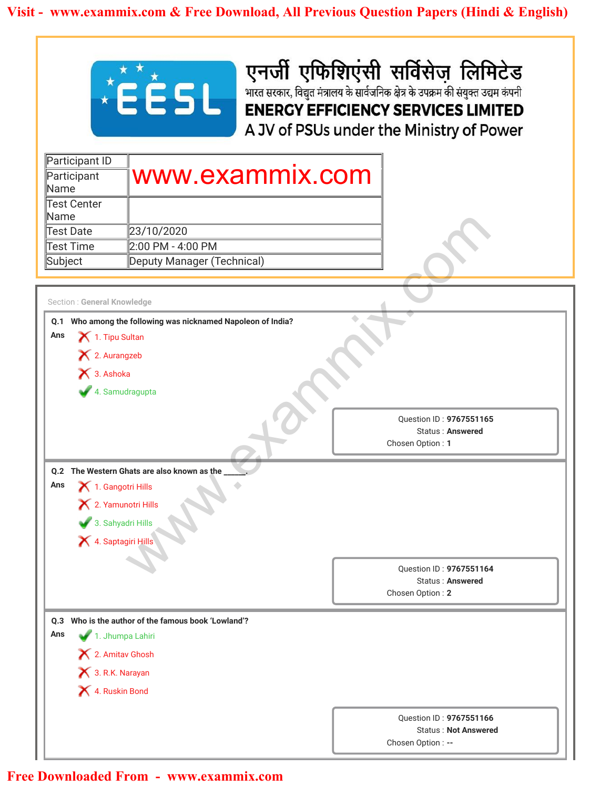

| www.exammix.com |
|-----------------|
|                 |
|                 |
|                 |
|                 |
|                 |
|                 |
|                 |
|                 |
|                 |

|                             | <b>EÉSL</b>                                         | एनर्जी एफिशिएंसी सर्विसेज लिमिटेड<br>भारत सरकार, विद्युत मंत्रालय के सार्वजनिक क्षेत्र के उपक्रम की संयुक्त उद्यम कंपनी<br><b>ENERGY EFFICIENCY SERVICES LIMITED</b> |
|-----------------------------|-----------------------------------------------------|----------------------------------------------------------------------------------------------------------------------------------------------------------------------|
|                             |                                                     | A JV of PSUs under the Ministry of Power                                                                                                                             |
| Participant ID              |                                                     |                                                                                                                                                                      |
| Participant                 | www.exammix.com                                     |                                                                                                                                                                      |
| Name                        |                                                     |                                                                                                                                                                      |
| <b>Test Center</b><br>Name  |                                                     |                                                                                                                                                                      |
| Test Date                   | 23/10/2020                                          |                                                                                                                                                                      |
| <b>Test Time</b>            | 2:00 PM - 4:00 PM                                   |                                                                                                                                                                      |
| Subject                     | Deputy Manager (Technical)                          |                                                                                                                                                                      |
|                             |                                                     |                                                                                                                                                                      |
| Section : General Knowledge |                                                     |                                                                                                                                                                      |
|                             |                                                     | Question ID: 9767551165<br>Status: Answered<br>Chosen Option: 1                                                                                                      |
|                             | Q.2 The Western Ghats are also known as the         |                                                                                                                                                                      |
| Ans                         | 1. Gangotri Hills                                   |                                                                                                                                                                      |
|                             | X 2. Yamunotri Hills                                |                                                                                                                                                                      |
|                             | 3. Sahyadri Hills                                   |                                                                                                                                                                      |
|                             | 4. Saptagiri Hills                                  |                                                                                                                                                                      |
|                             |                                                     |                                                                                                                                                                      |
|                             |                                                     |                                                                                                                                                                      |
|                             |                                                     | Question ID: 9767551164<br><b>Status: Answered</b>                                                                                                                   |
|                             |                                                     | Chosen Option: 2                                                                                                                                                     |
|                             |                                                     |                                                                                                                                                                      |
|                             | 0.3 Who is the author of the famous book 'Lowland'? |                                                                                                                                                                      |
| Ans                         | 1. Jhumpa Lahiri                                    |                                                                                                                                                                      |
|                             | X 2. Amitav Ghosh                                   |                                                                                                                                                                      |
|                             | 3. R.K. Narayan                                     |                                                                                                                                                                      |
|                             | 4. Ruskin Bond                                      |                                                                                                                                                                      |
|                             |                                                     |                                                                                                                                                                      |
|                             |                                                     | Question ID: 9767551166<br><b>Status: Not Answered</b>                                                                                                               |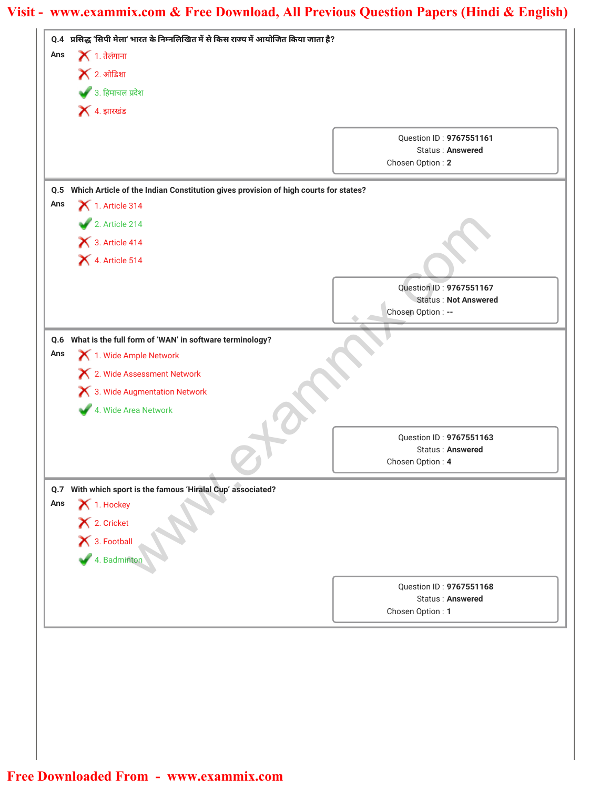| Ans | Q.4 प्रसिद्ध 'सिपी मेला' भारत के निम्नलिखित में से किस राज्य में आयोजित किया जाता है?   |                                                   |
|-----|-----------------------------------------------------------------------------------------|---------------------------------------------------|
|     | $\blacktriangleright$ 1. तेलंगाना                                                       |                                                   |
|     | $\blacktriangleright$ 2. ओडिशा                                                          |                                                   |
|     | 3. हिमाचल प्रदेश                                                                        |                                                   |
|     | $\blacktriangleright$ 4. झारखंड                                                         |                                                   |
|     |                                                                                         |                                                   |
|     |                                                                                         | Question ID: 9767551161<br>Status: Answered       |
|     |                                                                                         | Chosen Option: 2                                  |
|     | Q.5 Which Article of the Indian Constitution gives provision of high courts for states? |                                                   |
| Ans | $\blacktriangleright$ 1. Article 314                                                    |                                                   |
|     | 2. Article 214                                                                          |                                                   |
|     | $\bigtimes$ 3. Article 414                                                              |                                                   |
|     | 4. Article 514                                                                          |                                                   |
|     |                                                                                         |                                                   |
|     |                                                                                         | Question ID: 9767551167                           |
|     |                                                                                         | <b>Status: Not Answered</b><br>Chosen Option : -- |
|     |                                                                                         |                                                   |
|     | Q.6 What is the full form of 'WAN' in software terminology?                             |                                                   |
| Ans | 1. Wide Ample Network                                                                   |                                                   |
|     | X 2. Wide Assessment Network                                                            |                                                   |
|     | X 3. Wide Augmentation Network                                                          |                                                   |
|     | 4. Wide Area Network                                                                    |                                                   |
|     |                                                                                         |                                                   |
|     |                                                                                         | Question ID: 9767551163<br>Status: Answered       |
|     |                                                                                         | Chosen Option: 4                                  |
|     | Q.7 With which sport is the famous 'Hiralal Cup' associated?                            |                                                   |
|     |                                                                                         |                                                   |
| Ans |                                                                                         |                                                   |
|     | 1. Hockey                                                                               |                                                   |
|     |                                                                                         |                                                   |
|     | X 2. Cricket<br>X 3. Football                                                           |                                                   |
|     | 4. Badminton                                                                            |                                                   |
|     |                                                                                         | Question ID: 9767551168                           |
|     |                                                                                         | <b>Status: Answered</b><br>Chosen Option: 1       |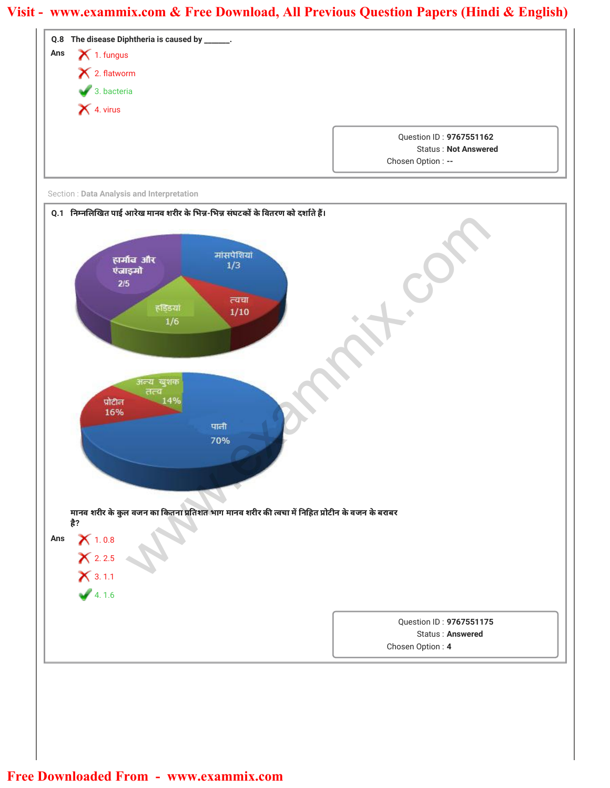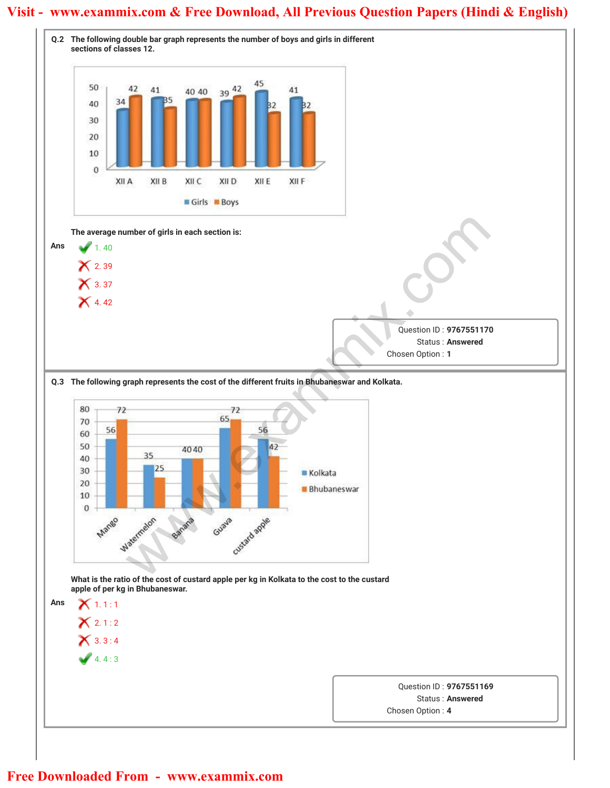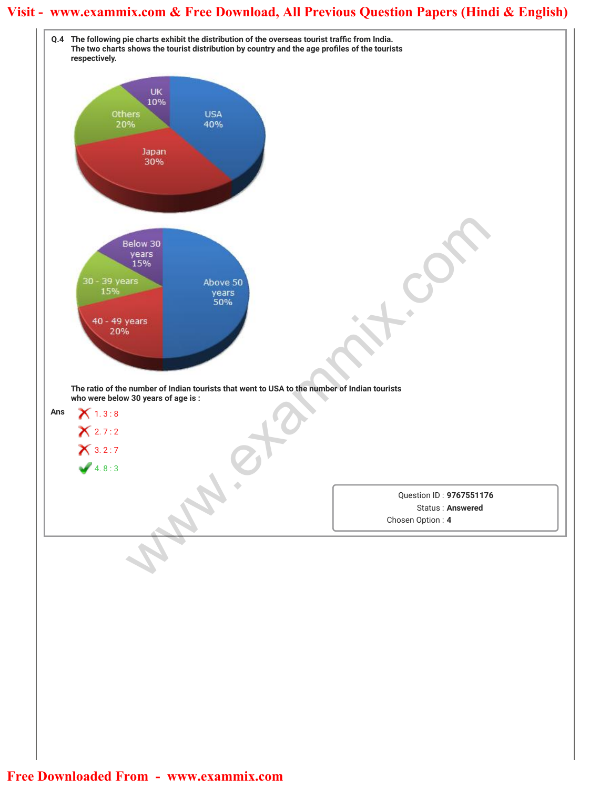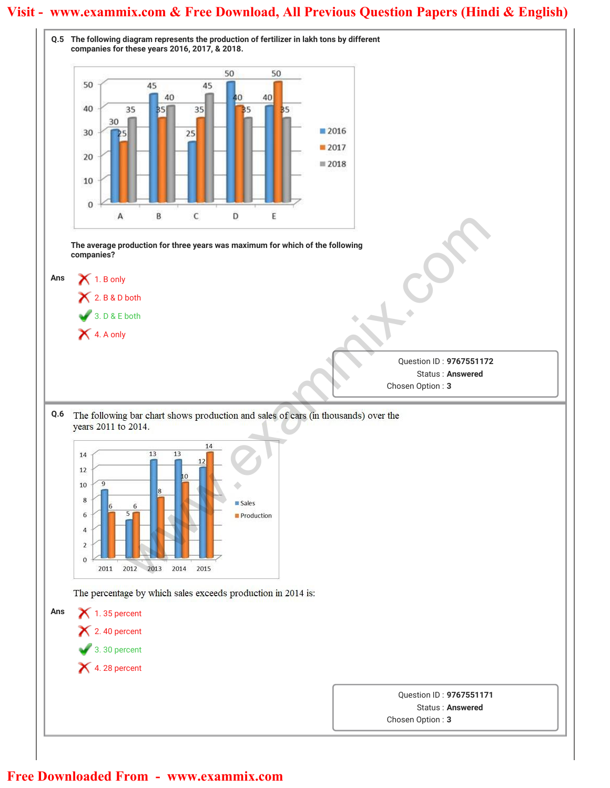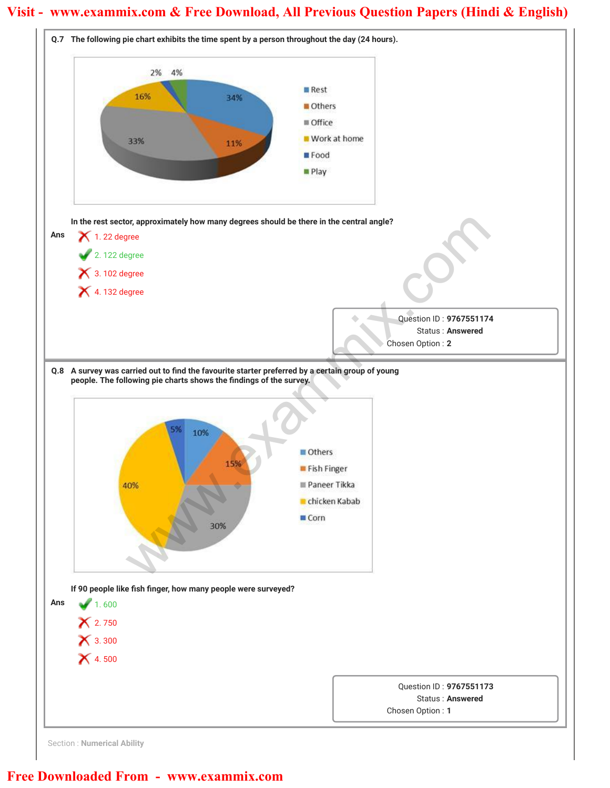

Section : **Numerical Ability**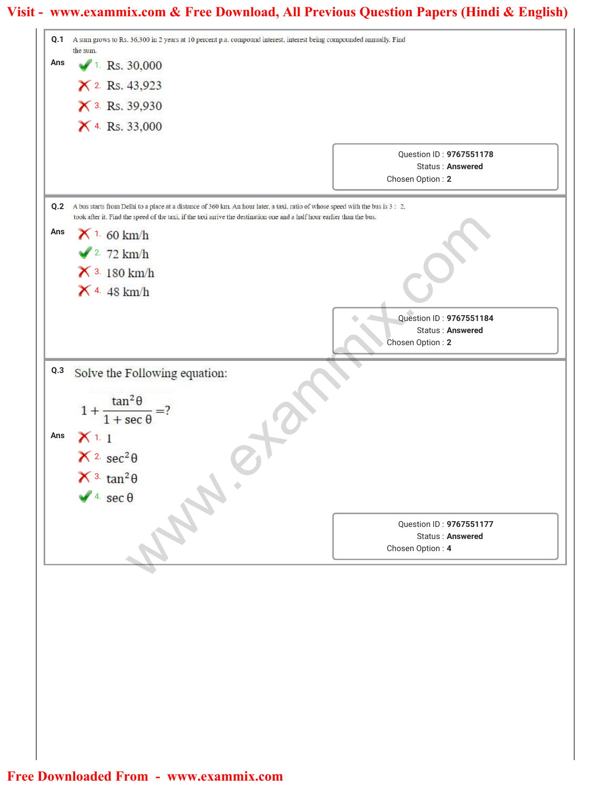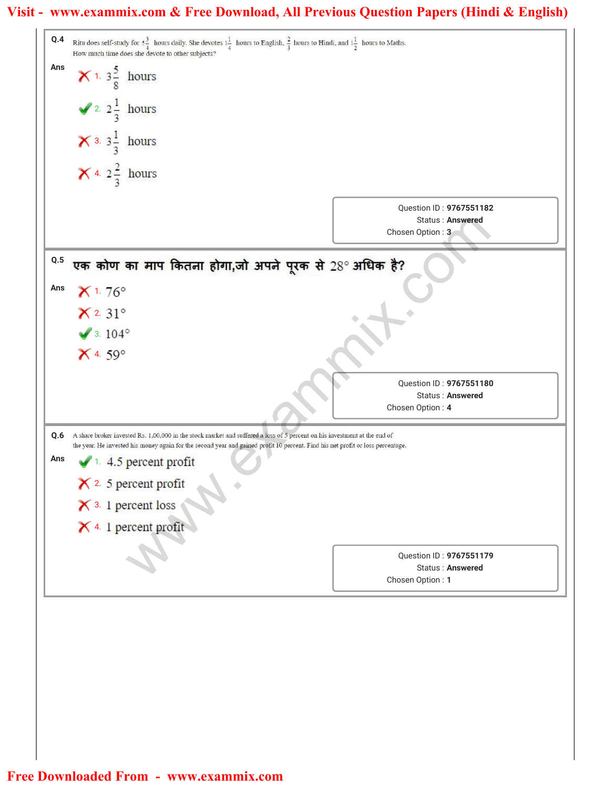### **Visit - www.exammix.com & Free Download, All Previous Question Papers (Hindi & English)**

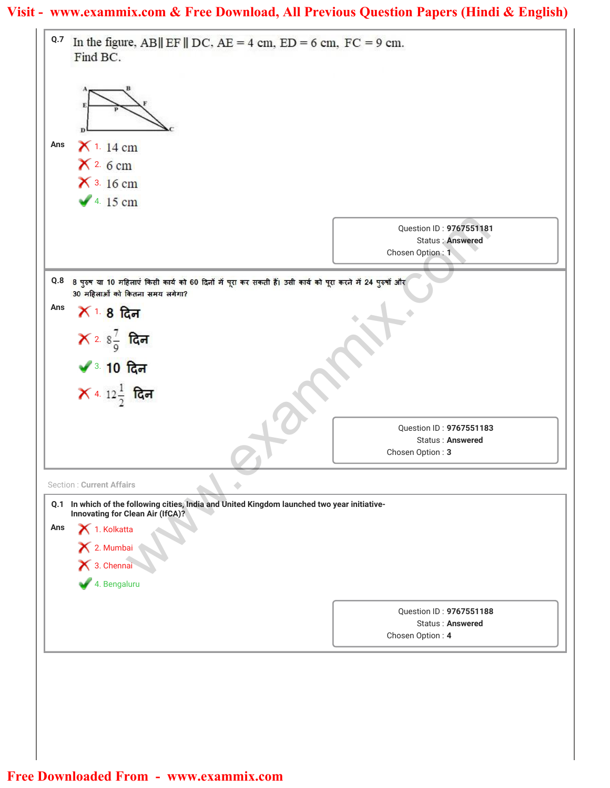|     | Find BC.                                                                                                                                          |                                                                  |
|-----|---------------------------------------------------------------------------------------------------------------------------------------------------|------------------------------------------------------------------|
|     |                                                                                                                                                   |                                                                  |
| Ans | $X$ 1. 14 cm                                                                                                                                      |                                                                  |
|     | $X2$ . 6 cm                                                                                                                                       |                                                                  |
|     | $X$ 3. 16 cm                                                                                                                                      |                                                                  |
|     | $\sqrt{4.15}$ cm                                                                                                                                  |                                                                  |
|     |                                                                                                                                                   | Question ID: 9767551181<br>Status : Answered<br>Chosen Option: 1 |
|     | 0.8 8 पुरुष या 10 महिलाएं किसी कार्य को 60 दिनों में पूरा कर सकती हैं। उसी कार्य को पूरा करने में 24 पुरुषों और<br>30 महिलाओं को कितना समय लगेगा? |                                                                  |
| Ans | $X_1$ 8 दिन                                                                                                                                       |                                                                  |
|     | $X$ 2. 8 $\frac{7}{9}$ दिन                                                                                                                        |                                                                  |
|     |                                                                                                                                                   |                                                                  |
|     | ◆ 3.10 दिन                                                                                                                                        |                                                                  |
|     | $\bm{\times}$ 4. 12 $\frac{1}{2}$ दिन                                                                                                             |                                                                  |
|     |                                                                                                                                                   | Question ID: 9767551183                                          |
|     |                                                                                                                                                   | Status: Answered                                                 |
|     |                                                                                                                                                   | Chosen Option: 3                                                 |
|     | <b>Section: Current Affairs</b>                                                                                                                   |                                                                  |
|     | Q.1 In which of the following cities, India and United Kingdom launched two year initiative-<br>Innovating for Clean Air (IfCA)?                  |                                                                  |
| Ans | $\bigtimes$ 1. Kolkatta                                                                                                                           |                                                                  |
|     | X 2. Mumbai<br>X 3. Chennai                                                                                                                       |                                                                  |
|     |                                                                                                                                                   |                                                                  |
|     | 4. Bengaluru                                                                                                                                      |                                                                  |
|     |                                                                                                                                                   | Question ID: 9767551188                                          |
|     |                                                                                                                                                   | <b>Status: Answered</b><br>Chosen Option: 4                      |
|     |                                                                                                                                                   |                                                                  |
|     |                                                                                                                                                   |                                                                  |
|     |                                                                                                                                                   |                                                                  |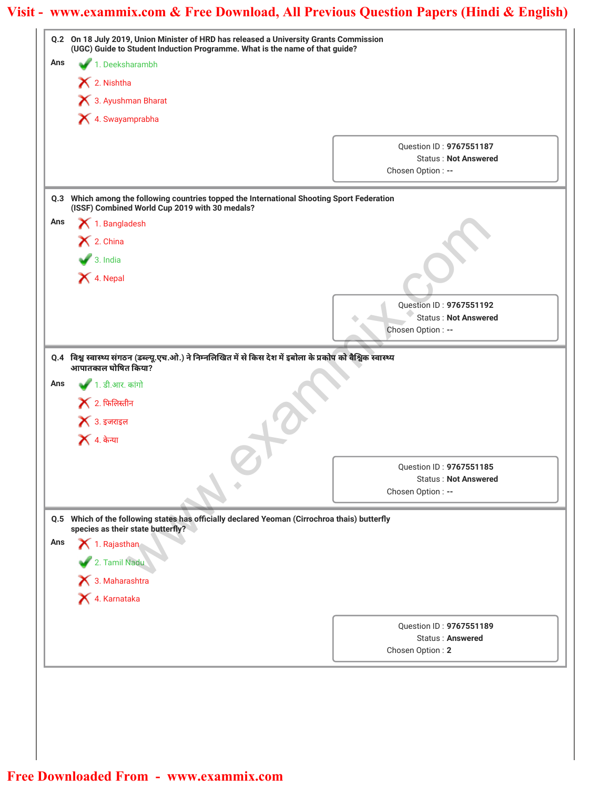|                                                                                                                                    | (UGC) Guide to Student Induction Programme. What is the name of that guide?                                     |
|------------------------------------------------------------------------------------------------------------------------------------|-----------------------------------------------------------------------------------------------------------------|
| Ans<br>1. Deeksharambh                                                                                                             |                                                                                                                 |
| X 2. Nishtha                                                                                                                       |                                                                                                                 |
| 3. Ayushman Bharat                                                                                                                 |                                                                                                                 |
| X 4. Swayamprabha                                                                                                                  |                                                                                                                 |
|                                                                                                                                    | Question ID: 9767551187                                                                                         |
|                                                                                                                                    | <b>Status: Not Answered</b>                                                                                     |
|                                                                                                                                    | Chosen Option: --                                                                                               |
| Q.3<br>(ISSF) Combined World Cup 2019 with 30 medals?                                                                              | Which among the following countries topped the International Shooting Sport Federation                          |
| 1. Bangladesh<br>Ans                                                                                                               |                                                                                                                 |
| $\mathsf{\times}$ 2. China                                                                                                         |                                                                                                                 |
| $\bullet$ 3. India                                                                                                                 |                                                                                                                 |
|                                                                                                                                    |                                                                                                                 |
| X 4. Nepal                                                                                                                         |                                                                                                                 |
|                                                                                                                                    | Question ID: 9767551192                                                                                         |
|                                                                                                                                    | <b>Status: Not Answered</b>                                                                                     |
|                                                                                                                                    | Chosen Option: --                                                                                               |
|                                                                                                                                    | Q.4 विश्व स्वास्थ्य संगठन (डब्ल्यू.एच.ओ.) ने निम्नलिखित में से किस देश में इबोला के प्रकोप को वैश्विक स्वास्थ्य |
| आपातकाल घोषित किया?                                                                                                                |                                                                                                                 |
| ● 1. डी.आर. कांगो<br>Ans                                                                                                           |                                                                                                                 |
| $\blacktriangleright$ 2. फिलिस्तीन                                                                                                 |                                                                                                                 |
| $\blacktriangleright$ 3. इजराइल                                                                                                    |                                                                                                                 |
| $\blacktriangleright$ 4. केन्या                                                                                                    |                                                                                                                 |
|                                                                                                                                    | <b>Ouestion ID: 9767551185</b>                                                                                  |
|                                                                                                                                    | <b>Status: Not Answered</b>                                                                                     |
|                                                                                                                                    | Chosen Option: --                                                                                               |
|                                                                                                                                    |                                                                                                                 |
|                                                                                                                                    |                                                                                                                 |
| Q.5 Which of the following states has officially declared Yeoman (Cirrochroa thais) butterfly<br>species as their state butterfly? |                                                                                                                 |
| Ans<br>1. Rajasthan                                                                                                                |                                                                                                                 |
|                                                                                                                                    |                                                                                                                 |
| 2. Tamil Nadu                                                                                                                      |                                                                                                                 |
| X 4. Karnataka                                                                                                                     |                                                                                                                 |
|                                                                                                                                    | Question ID: 9767551189                                                                                         |
|                                                                                                                                    | Status: Answered                                                                                                |
|                                                                                                                                    | Chosen Option: 2                                                                                                |
|                                                                                                                                    |                                                                                                                 |
|                                                                                                                                    |                                                                                                                 |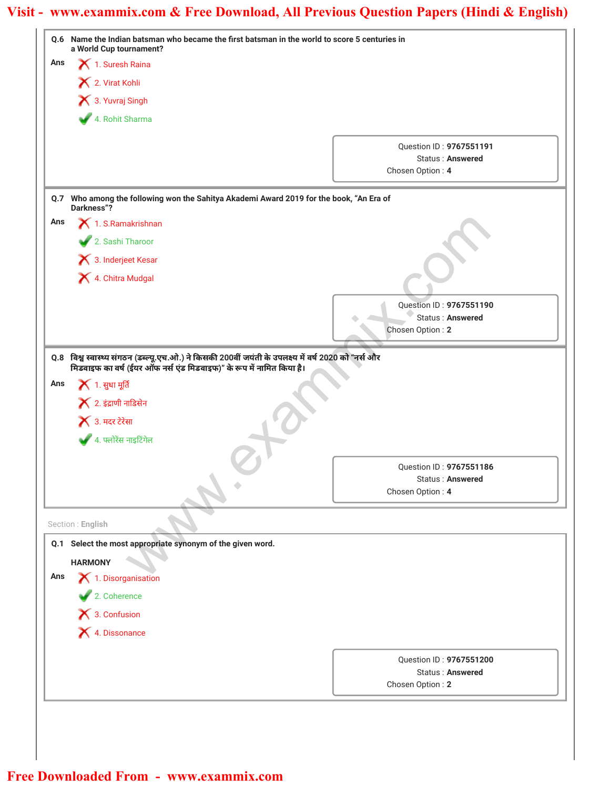|     | Q.6 Name the Indian batsman who became the first batsman in the world to score 5 centuries in<br>a World Cup tournament?             |                                                    |
|-----|--------------------------------------------------------------------------------------------------------------------------------------|----------------------------------------------------|
| Ans | 1. Suresh Raina                                                                                                                      |                                                    |
|     | 2. Virat Kohli                                                                                                                       |                                                    |
|     | X 3. Yuvraj Singh                                                                                                                    |                                                    |
|     | 4. Rohit Sharma                                                                                                                      |                                                    |
|     |                                                                                                                                      |                                                    |
|     |                                                                                                                                      | Question ID: 9767551191<br><b>Status: Answered</b> |
|     |                                                                                                                                      | Chosen Option: 4                                   |
|     | Q.7 Who among the following won the Sahitya Akademi Award 2019 for the book, "An Era of<br>Darkness"?                                |                                                    |
| Ans | 1. S.Ramakrishnan                                                                                                                    |                                                    |
|     | 2. Sashi Tharoor                                                                                                                     |                                                    |
|     | 3. Inderjeet Kesar                                                                                                                   |                                                    |
|     | 4. Chitra Mudgal                                                                                                                     |                                                    |
|     |                                                                                                                                      |                                                    |
|     |                                                                                                                                      | Question ID: 9767551190                            |
|     |                                                                                                                                      | Status: Answered<br>Chosen Option: 2               |
|     |                                                                                                                                      |                                                    |
|     | <b>X</b> 1. सुधा मूर्ति<br>$\blacktriangleright$ 2. इंद्राणी नाडिसेन<br>$\blacktriangleright$ 3. मदर टेरेसा<br>4. फ्लोरेंस नाइटिंगेल |                                                    |
|     |                                                                                                                                      | Question ID: 9767551186                            |
|     |                                                                                                                                      | <b>Status: Answered</b>                            |
|     |                                                                                                                                      | Chosen Option: 4                                   |
|     | Section: English                                                                                                                     |                                                    |
|     | Q.1 Select the most appropriate synonym of the given word.                                                                           |                                                    |
|     | <b>HARMONY</b>                                                                                                                       |                                                    |
| Ans | 1. Disorganisation                                                                                                                   |                                                    |
|     | 2. Coherence                                                                                                                         |                                                    |
|     | $\blacktriangleright$ 3. Confusion                                                                                                   |                                                    |
|     | X 4. Dissonance                                                                                                                      |                                                    |
|     |                                                                                                                                      | Question ID: 9767551200                            |
|     |                                                                                                                                      | <b>Status: Answered</b>                            |
|     |                                                                                                                                      | Chosen Option: 2                                   |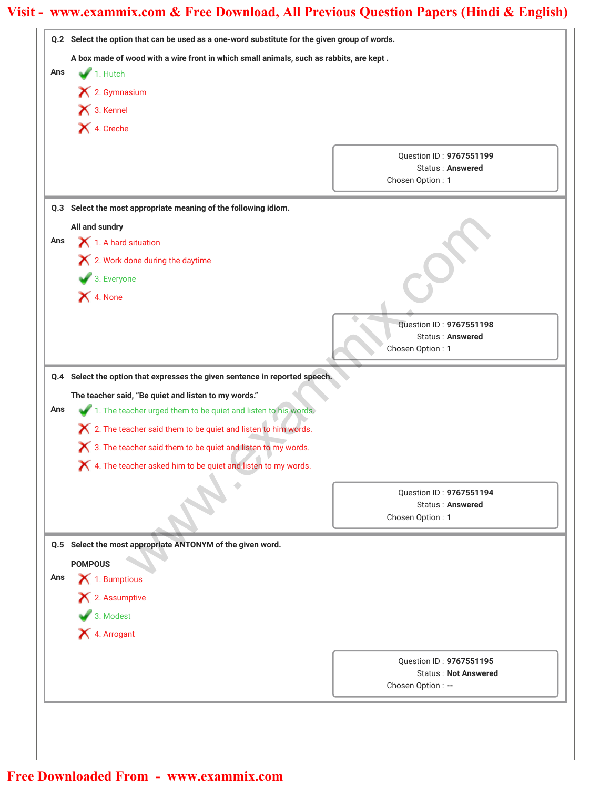|     | Q.2 Select the option that can be used as a one-word substitute for the given group of words. |                                                    |
|-----|-----------------------------------------------------------------------------------------------|----------------------------------------------------|
|     | A box made of wood with a wire front in which small animals, such as rabbits, are kept.       |                                                    |
| Ans | $\blacktriangleright$ 1. Hutch                                                                |                                                    |
|     | X 2. Gymnasium                                                                                |                                                    |
|     | 13. Kennel                                                                                    |                                                    |
|     | X 4. Creche                                                                                   |                                                    |
|     |                                                                                               |                                                    |
|     |                                                                                               | Question ID: 9767551199<br><b>Status: Answered</b> |
|     |                                                                                               | Chosen Option: 1                                   |
|     | Q.3 Select the most appropriate meaning of the following idiom.                               |                                                    |
|     | All and sundry                                                                                |                                                    |
| Ans | 1. A hard situation                                                                           |                                                    |
|     | X 2. Work done during the daytime                                                             |                                                    |
|     | 3. Everyone                                                                                   |                                                    |
|     | X 4. None                                                                                     |                                                    |
|     |                                                                                               |                                                    |
|     |                                                                                               | Question ID: 9767551198                            |
|     |                                                                                               | <b>Status: Answered</b><br>Chosen Option: 1        |
|     |                                                                                               |                                                    |
|     | Q.4 Select the option that expresses the given sentence in reported speech.                   |                                                    |
|     | The teacher said, "Be quiet and listen to my words."                                          |                                                    |
| Ans | 1. The teacher urged them to be quiet and listen to his words.                                |                                                    |
|     | X 2. The teacher said them to be quiet and listen to him words.                               |                                                    |
|     | $\bigtimes$ 3. The teacher said them to be quiet and listen to my words.                      |                                                    |
|     | X 4. The teacher asked him to be quiet and listen to my words.                                |                                                    |
|     |                                                                                               | Question ID: 9767551194                            |
|     |                                                                                               | <b>Status: Answered</b>                            |
|     |                                                                                               | Chosen Option: 1                                   |
|     | Q.5 Select the most appropriate ANTONYM of the given word.                                    |                                                    |
|     | <b>POMPOUS</b>                                                                                |                                                    |
| Ans | $\blacktriangleright$ 1. Bumptious                                                            |                                                    |
|     | X 2. Assumptive                                                                               |                                                    |
|     | 3. Modest                                                                                     |                                                    |
|     | X 4. Arrogant                                                                                 |                                                    |
|     |                                                                                               | Question ID: 9767551195                            |
|     |                                                                                               | <b>Status: Not Answered</b>                        |
|     |                                                                                               | Chosen Option: --                                  |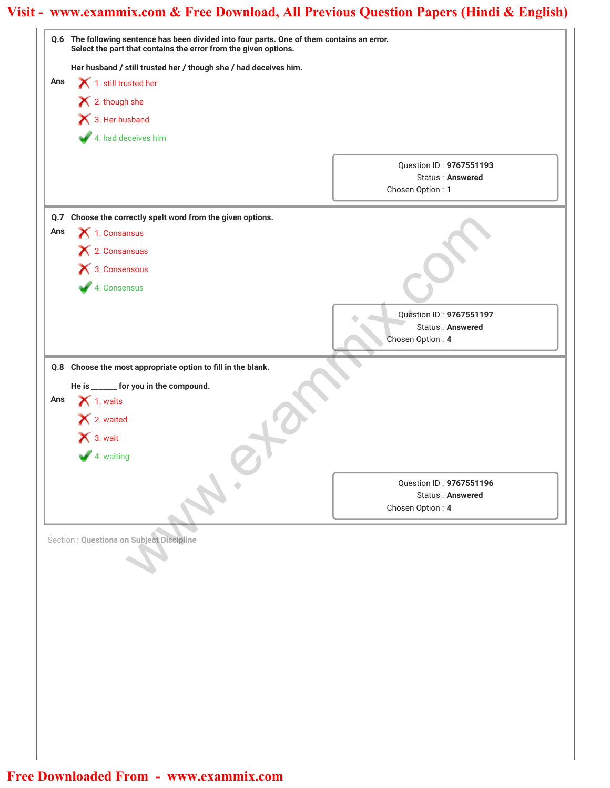| Question ID: 9767551193<br>Status: Answered |
|---------------------------------------------|
| Chosen Option: 1                            |
|                                             |
|                                             |
|                                             |
|                                             |
|                                             |
|                                             |
| Question ID: 9767551197<br>Status: Answered |
| Chosen Option: 4                            |
| Question ID: 9767551196<br>Status: Answered |
| Chosen Option: 4                            |
|                                             |
|                                             |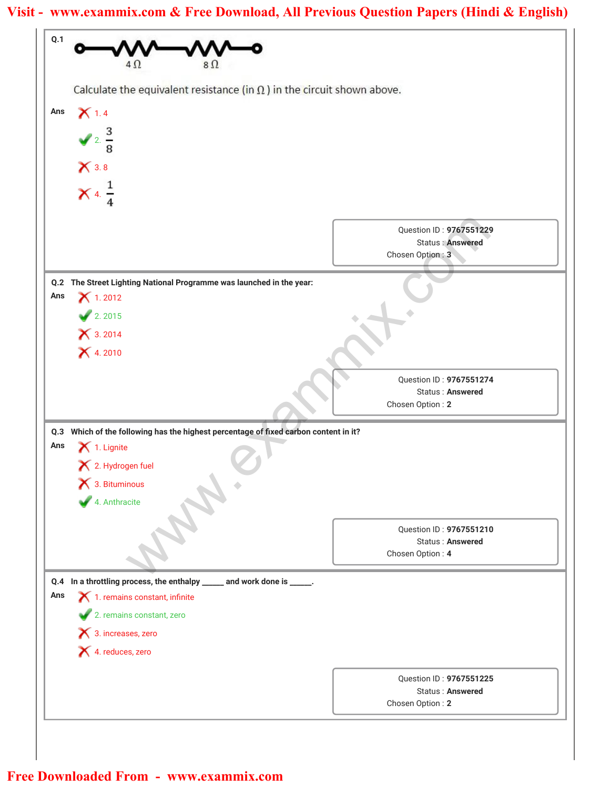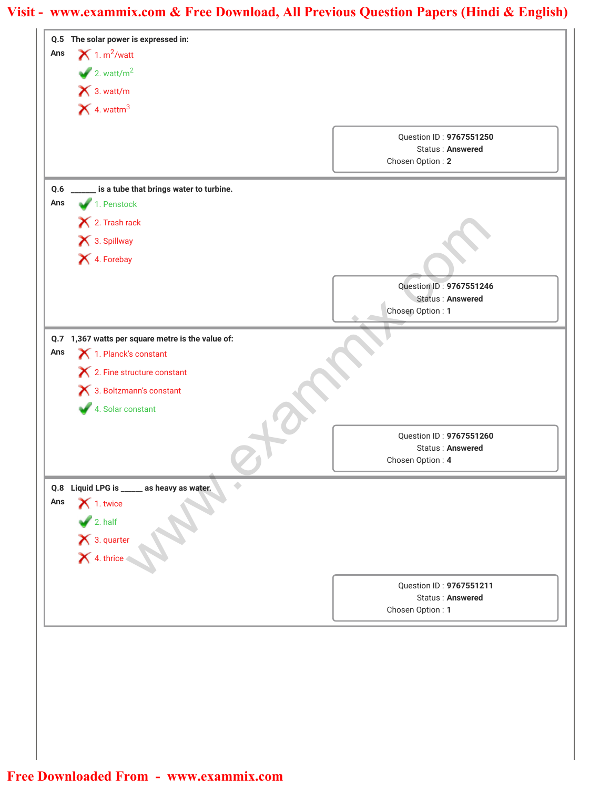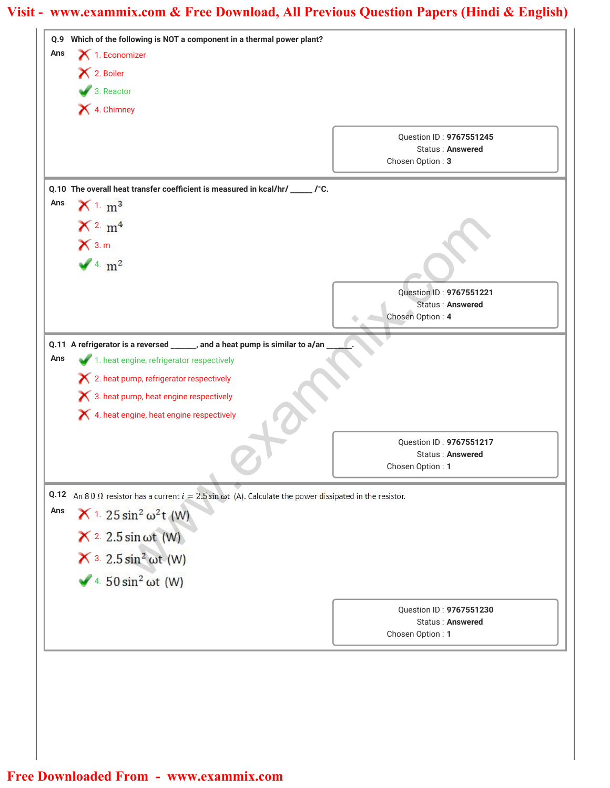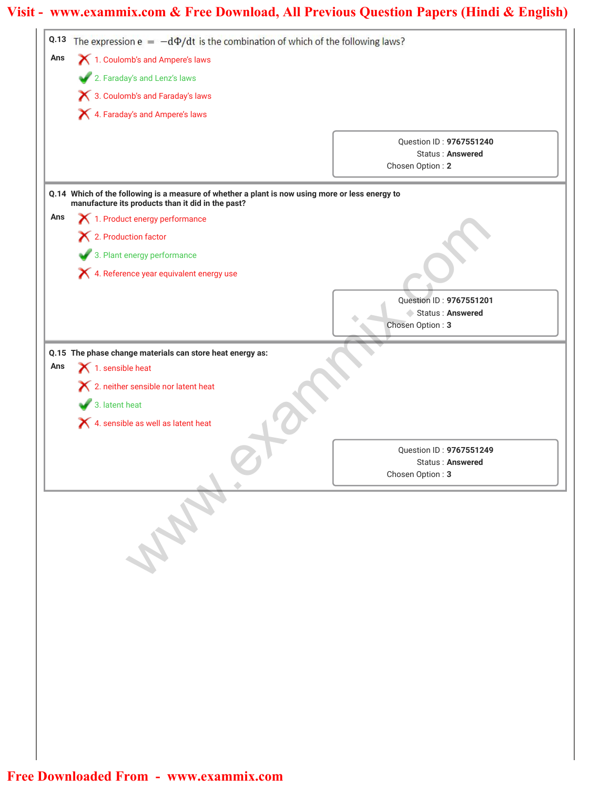| Q.13 | The expression $e = -d\Phi/dt$ is the combination of which of the following laws?                                                                    |                                             |
|------|------------------------------------------------------------------------------------------------------------------------------------------------------|---------------------------------------------|
| Ans  | X 1. Coulomb's and Ampere's laws                                                                                                                     |                                             |
|      | 2. Faraday's and Lenz's laws                                                                                                                         |                                             |
|      | X 3. Coulomb's and Faraday's laws                                                                                                                    |                                             |
|      | X 4. Faraday's and Ampere's laws                                                                                                                     |                                             |
|      |                                                                                                                                                      |                                             |
|      |                                                                                                                                                      | Question ID: 9767551240<br>Status: Answered |
|      |                                                                                                                                                      | Chosen Option: 2                            |
|      |                                                                                                                                                      |                                             |
|      | Q.14 Which of the following is a measure of whether a plant is now using more or less energy to<br>manufacture its products than it did in the past? |                                             |
| Ans  | 1. Product energy performance                                                                                                                        |                                             |
|      | X 2. Production factor                                                                                                                               |                                             |
|      | 3. Plant energy performance                                                                                                                          |                                             |
|      | X 4. Reference year equivalent energy use                                                                                                            |                                             |
|      |                                                                                                                                                      |                                             |
|      |                                                                                                                                                      | Question ID: 9767551201<br>Status: Answered |
|      |                                                                                                                                                      | Chosen Option: 3                            |
|      |                                                                                                                                                      |                                             |
| Ans  | Q.15 The phase change materials can store heat energy as:<br>$\blacktriangleright$ 1. sensible heat                                                  |                                             |
|      | X 2. neither sensible nor latent heat                                                                                                                |                                             |
|      |                                                                                                                                                      |                                             |
|      | 3. latent heat                                                                                                                                       |                                             |
|      | $\blacktriangleright$ 4. sensible as well as latent heat                                                                                             |                                             |
|      |                                                                                                                                                      | <b>Ouestion ID: 9767551249</b>              |
|      |                                                                                                                                                      | Status: Answered<br>Chosen Option: 3        |
|      |                                                                                                                                                      |                                             |
|      |                                                                                                                                                      |                                             |
|      |                                                                                                                                                      |                                             |
|      |                                                                                                                                                      |                                             |
|      |                                                                                                                                                      |                                             |
|      |                                                                                                                                                      |                                             |
|      |                                                                                                                                                      |                                             |
|      |                                                                                                                                                      |                                             |
|      |                                                                                                                                                      |                                             |
|      |                                                                                                                                                      |                                             |
|      |                                                                                                                                                      |                                             |
|      |                                                                                                                                                      |                                             |
|      |                                                                                                                                                      |                                             |
|      |                                                                                                                                                      |                                             |
|      |                                                                                                                                                      |                                             |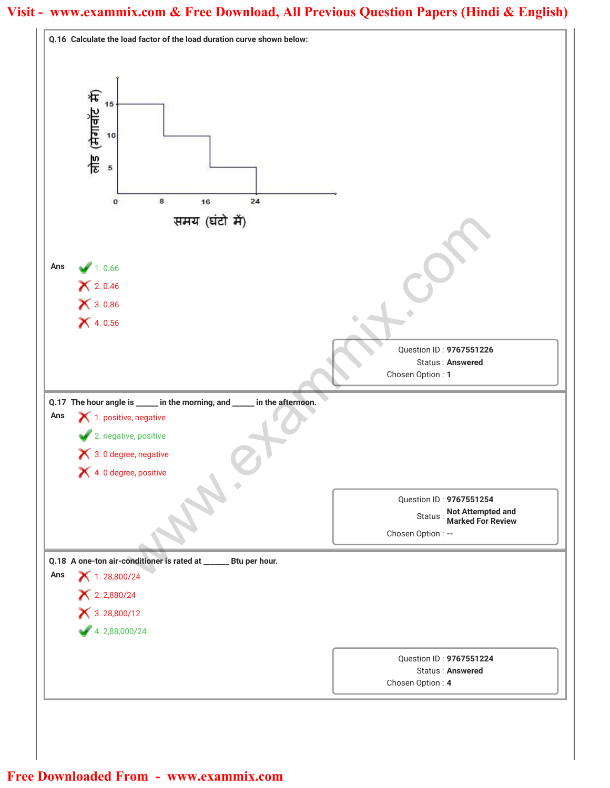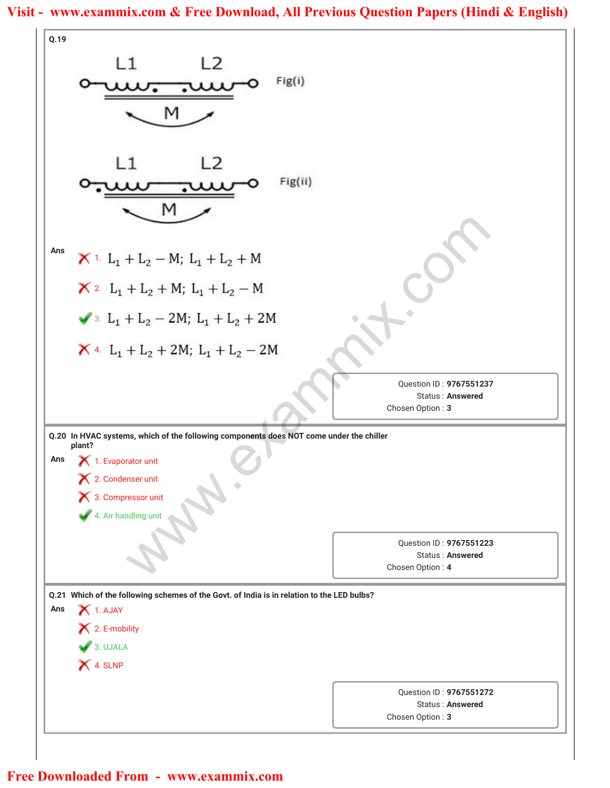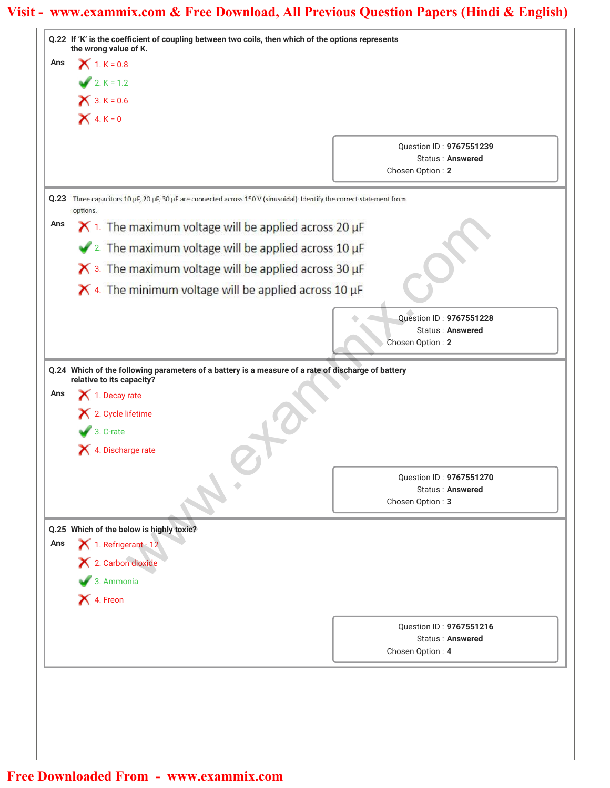| $X$ 1. K = 0.8<br>Ans<br>$2. K = 1.2$<br>$X$ 3. $K = 0.6$<br>$X 4. K = 0$<br>Question ID: 9767551239<br><b>Status: Answered</b><br>Chosen Option: 2<br>Three capacitors 10 µF, 20 µF, 30 µF are connected across 150 V (sinusoidal). Identify the correct statement from<br>Q.23<br>options.<br>Ans<br>$\times$ 1. The maximum voltage will be applied across 20 µF<br>$\sqrt{2}$ . The maximum voltage will be applied across 10 µF<br>$\boldsymbol{\times}$ 3. The maximum voltage will be applied across 30 µF<br>$\times$ 4. The minimum voltage will be applied across 10 µF<br>Question ID: 9767551228<br>Status: Answered<br>Chosen Option: 2<br>Q.24 Which of the following parameters of a battery is a measure of a rate of discharge of battery<br>relative to its capacity?<br>Ans<br>1. Decay rate<br>2. Cycle lifetime<br>$\bullet$ 3. C-rate<br>4. Discharge rate<br>Question ID: 9767551270<br>Status: Answered<br>Chosen Option: 3<br>Q.25 Which of the below is highly toxic?<br>$\blacktriangleright$ 1. Refrigerant - 12<br>Ans<br>X 2. Carbon dioxide<br>3. Ammonia<br>X 4. Freon<br>Question ID: 9767551216<br><b>Status: Answered</b><br>Chosen Option: 4 | the wrong value of K. |  |
|----------------------------------------------------------------------------------------------------------------------------------------------------------------------------------------------------------------------------------------------------------------------------------------------------------------------------------------------------------------------------------------------------------------------------------------------------------------------------------------------------------------------------------------------------------------------------------------------------------------------------------------------------------------------------------------------------------------------------------------------------------------------------------------------------------------------------------------------------------------------------------------------------------------------------------------------------------------------------------------------------------------------------------------------------------------------------------------------------------------------------------------------------------------------------------|-----------------------|--|
|                                                                                                                                                                                                                                                                                                                                                                                                                                                                                                                                                                                                                                                                                                                                                                                                                                                                                                                                                                                                                                                                                                                                                                                  |                       |  |
|                                                                                                                                                                                                                                                                                                                                                                                                                                                                                                                                                                                                                                                                                                                                                                                                                                                                                                                                                                                                                                                                                                                                                                                  |                       |  |
|                                                                                                                                                                                                                                                                                                                                                                                                                                                                                                                                                                                                                                                                                                                                                                                                                                                                                                                                                                                                                                                                                                                                                                                  |                       |  |
|                                                                                                                                                                                                                                                                                                                                                                                                                                                                                                                                                                                                                                                                                                                                                                                                                                                                                                                                                                                                                                                                                                                                                                                  |                       |  |
|                                                                                                                                                                                                                                                                                                                                                                                                                                                                                                                                                                                                                                                                                                                                                                                                                                                                                                                                                                                                                                                                                                                                                                                  |                       |  |
|                                                                                                                                                                                                                                                                                                                                                                                                                                                                                                                                                                                                                                                                                                                                                                                                                                                                                                                                                                                                                                                                                                                                                                                  |                       |  |
|                                                                                                                                                                                                                                                                                                                                                                                                                                                                                                                                                                                                                                                                                                                                                                                                                                                                                                                                                                                                                                                                                                                                                                                  |                       |  |
|                                                                                                                                                                                                                                                                                                                                                                                                                                                                                                                                                                                                                                                                                                                                                                                                                                                                                                                                                                                                                                                                                                                                                                                  |                       |  |
|                                                                                                                                                                                                                                                                                                                                                                                                                                                                                                                                                                                                                                                                                                                                                                                                                                                                                                                                                                                                                                                                                                                                                                                  |                       |  |
|                                                                                                                                                                                                                                                                                                                                                                                                                                                                                                                                                                                                                                                                                                                                                                                                                                                                                                                                                                                                                                                                                                                                                                                  |                       |  |
|                                                                                                                                                                                                                                                                                                                                                                                                                                                                                                                                                                                                                                                                                                                                                                                                                                                                                                                                                                                                                                                                                                                                                                                  |                       |  |
|                                                                                                                                                                                                                                                                                                                                                                                                                                                                                                                                                                                                                                                                                                                                                                                                                                                                                                                                                                                                                                                                                                                                                                                  |                       |  |
|                                                                                                                                                                                                                                                                                                                                                                                                                                                                                                                                                                                                                                                                                                                                                                                                                                                                                                                                                                                                                                                                                                                                                                                  |                       |  |
|                                                                                                                                                                                                                                                                                                                                                                                                                                                                                                                                                                                                                                                                                                                                                                                                                                                                                                                                                                                                                                                                                                                                                                                  |                       |  |
|                                                                                                                                                                                                                                                                                                                                                                                                                                                                                                                                                                                                                                                                                                                                                                                                                                                                                                                                                                                                                                                                                                                                                                                  |                       |  |
|                                                                                                                                                                                                                                                                                                                                                                                                                                                                                                                                                                                                                                                                                                                                                                                                                                                                                                                                                                                                                                                                                                                                                                                  |                       |  |
|                                                                                                                                                                                                                                                                                                                                                                                                                                                                                                                                                                                                                                                                                                                                                                                                                                                                                                                                                                                                                                                                                                                                                                                  |                       |  |
|                                                                                                                                                                                                                                                                                                                                                                                                                                                                                                                                                                                                                                                                                                                                                                                                                                                                                                                                                                                                                                                                                                                                                                                  |                       |  |
|                                                                                                                                                                                                                                                                                                                                                                                                                                                                                                                                                                                                                                                                                                                                                                                                                                                                                                                                                                                                                                                                                                                                                                                  |                       |  |
|                                                                                                                                                                                                                                                                                                                                                                                                                                                                                                                                                                                                                                                                                                                                                                                                                                                                                                                                                                                                                                                                                                                                                                                  |                       |  |
|                                                                                                                                                                                                                                                                                                                                                                                                                                                                                                                                                                                                                                                                                                                                                                                                                                                                                                                                                                                                                                                                                                                                                                                  |                       |  |
|                                                                                                                                                                                                                                                                                                                                                                                                                                                                                                                                                                                                                                                                                                                                                                                                                                                                                                                                                                                                                                                                                                                                                                                  |                       |  |
|                                                                                                                                                                                                                                                                                                                                                                                                                                                                                                                                                                                                                                                                                                                                                                                                                                                                                                                                                                                                                                                                                                                                                                                  |                       |  |
|                                                                                                                                                                                                                                                                                                                                                                                                                                                                                                                                                                                                                                                                                                                                                                                                                                                                                                                                                                                                                                                                                                                                                                                  |                       |  |
|                                                                                                                                                                                                                                                                                                                                                                                                                                                                                                                                                                                                                                                                                                                                                                                                                                                                                                                                                                                                                                                                                                                                                                                  |                       |  |
|                                                                                                                                                                                                                                                                                                                                                                                                                                                                                                                                                                                                                                                                                                                                                                                                                                                                                                                                                                                                                                                                                                                                                                                  |                       |  |
|                                                                                                                                                                                                                                                                                                                                                                                                                                                                                                                                                                                                                                                                                                                                                                                                                                                                                                                                                                                                                                                                                                                                                                                  |                       |  |
|                                                                                                                                                                                                                                                                                                                                                                                                                                                                                                                                                                                                                                                                                                                                                                                                                                                                                                                                                                                                                                                                                                                                                                                  |                       |  |
|                                                                                                                                                                                                                                                                                                                                                                                                                                                                                                                                                                                                                                                                                                                                                                                                                                                                                                                                                                                                                                                                                                                                                                                  |                       |  |
|                                                                                                                                                                                                                                                                                                                                                                                                                                                                                                                                                                                                                                                                                                                                                                                                                                                                                                                                                                                                                                                                                                                                                                                  |                       |  |
|                                                                                                                                                                                                                                                                                                                                                                                                                                                                                                                                                                                                                                                                                                                                                                                                                                                                                                                                                                                                                                                                                                                                                                                  |                       |  |
|                                                                                                                                                                                                                                                                                                                                                                                                                                                                                                                                                                                                                                                                                                                                                                                                                                                                                                                                                                                                                                                                                                                                                                                  |                       |  |
|                                                                                                                                                                                                                                                                                                                                                                                                                                                                                                                                                                                                                                                                                                                                                                                                                                                                                                                                                                                                                                                                                                                                                                                  |                       |  |
|                                                                                                                                                                                                                                                                                                                                                                                                                                                                                                                                                                                                                                                                                                                                                                                                                                                                                                                                                                                                                                                                                                                                                                                  |                       |  |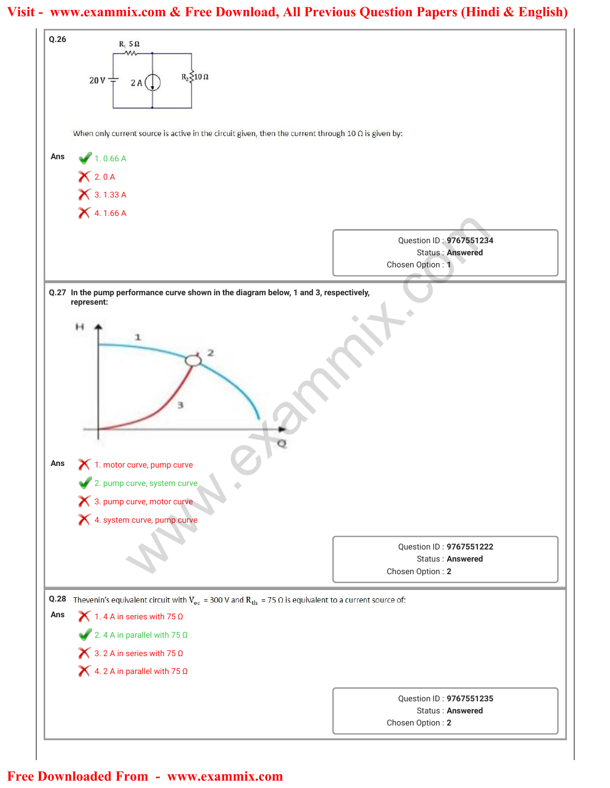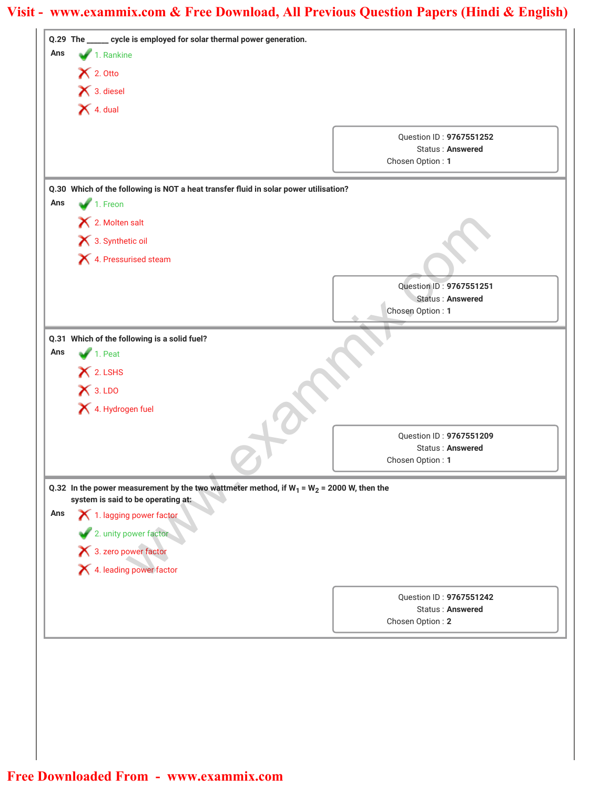| 1. Rankine<br>Ans<br>$\blacktriangleright$ 2. Otto<br>X 3. diesel<br>$\blacktriangleright$ 4. dual<br>Question ID: 9767551252<br><b>Status: Answered</b><br>Chosen Option: 1<br>Q.30 Which of the following is NOT a heat transfer fluid in solar power utilisation?<br>$\blacktriangleright$ 1. Freon<br>Ans<br>X 2. Molten salt<br>3. Synthetic oil<br>4. Pressurised steam<br>Question ID: 9767551251<br>Status: Answered<br>Chosen Option: 1<br>Q.31 Which of the following is a solid fuel?<br>1. Peat<br>Ans<br>X 2. LSHS<br>$X$ 3. LDO<br>4. Hydrogen fuel<br>Question ID: 9767551209<br><b>Status: Answered</b><br>Chosen Option: 1<br>Q.32 In the power measurement by the two wattmeter method, if $W_1 = W_2 = 2000$ W, then the<br>system is said to be operating at:<br>Ans<br>1. lagging power factor<br>2. unity power factor<br>3. zero power factor<br>4. leading power factor<br>Question ID: 9767551242<br><b>Status: Answered</b><br>Chosen Option: 2 | Q.29 The _____ cycle is employed for solar thermal power generation. |  |
|---------------------------------------------------------------------------------------------------------------------------------------------------------------------------------------------------------------------------------------------------------------------------------------------------------------------------------------------------------------------------------------------------------------------------------------------------------------------------------------------------------------------------------------------------------------------------------------------------------------------------------------------------------------------------------------------------------------------------------------------------------------------------------------------------------------------------------------------------------------------------------------------------------------------------------------------------------------------------|----------------------------------------------------------------------|--|
|                                                                                                                                                                                                                                                                                                                                                                                                                                                                                                                                                                                                                                                                                                                                                                                                                                                                                                                                                                           |                                                                      |  |
|                                                                                                                                                                                                                                                                                                                                                                                                                                                                                                                                                                                                                                                                                                                                                                                                                                                                                                                                                                           |                                                                      |  |
|                                                                                                                                                                                                                                                                                                                                                                                                                                                                                                                                                                                                                                                                                                                                                                                                                                                                                                                                                                           |                                                                      |  |
|                                                                                                                                                                                                                                                                                                                                                                                                                                                                                                                                                                                                                                                                                                                                                                                                                                                                                                                                                                           |                                                                      |  |
|                                                                                                                                                                                                                                                                                                                                                                                                                                                                                                                                                                                                                                                                                                                                                                                                                                                                                                                                                                           |                                                                      |  |
|                                                                                                                                                                                                                                                                                                                                                                                                                                                                                                                                                                                                                                                                                                                                                                                                                                                                                                                                                                           |                                                                      |  |
|                                                                                                                                                                                                                                                                                                                                                                                                                                                                                                                                                                                                                                                                                                                                                                                                                                                                                                                                                                           |                                                                      |  |
|                                                                                                                                                                                                                                                                                                                                                                                                                                                                                                                                                                                                                                                                                                                                                                                                                                                                                                                                                                           |                                                                      |  |
|                                                                                                                                                                                                                                                                                                                                                                                                                                                                                                                                                                                                                                                                                                                                                                                                                                                                                                                                                                           |                                                                      |  |
|                                                                                                                                                                                                                                                                                                                                                                                                                                                                                                                                                                                                                                                                                                                                                                                                                                                                                                                                                                           |                                                                      |  |
|                                                                                                                                                                                                                                                                                                                                                                                                                                                                                                                                                                                                                                                                                                                                                                                                                                                                                                                                                                           |                                                                      |  |
|                                                                                                                                                                                                                                                                                                                                                                                                                                                                                                                                                                                                                                                                                                                                                                                                                                                                                                                                                                           |                                                                      |  |
|                                                                                                                                                                                                                                                                                                                                                                                                                                                                                                                                                                                                                                                                                                                                                                                                                                                                                                                                                                           |                                                                      |  |
|                                                                                                                                                                                                                                                                                                                                                                                                                                                                                                                                                                                                                                                                                                                                                                                                                                                                                                                                                                           |                                                                      |  |
|                                                                                                                                                                                                                                                                                                                                                                                                                                                                                                                                                                                                                                                                                                                                                                                                                                                                                                                                                                           |                                                                      |  |
|                                                                                                                                                                                                                                                                                                                                                                                                                                                                                                                                                                                                                                                                                                                                                                                                                                                                                                                                                                           |                                                                      |  |
|                                                                                                                                                                                                                                                                                                                                                                                                                                                                                                                                                                                                                                                                                                                                                                                                                                                                                                                                                                           |                                                                      |  |
|                                                                                                                                                                                                                                                                                                                                                                                                                                                                                                                                                                                                                                                                                                                                                                                                                                                                                                                                                                           |                                                                      |  |
|                                                                                                                                                                                                                                                                                                                                                                                                                                                                                                                                                                                                                                                                                                                                                                                                                                                                                                                                                                           |                                                                      |  |
|                                                                                                                                                                                                                                                                                                                                                                                                                                                                                                                                                                                                                                                                                                                                                                                                                                                                                                                                                                           |                                                                      |  |
|                                                                                                                                                                                                                                                                                                                                                                                                                                                                                                                                                                                                                                                                                                                                                                                                                                                                                                                                                                           |                                                                      |  |
|                                                                                                                                                                                                                                                                                                                                                                                                                                                                                                                                                                                                                                                                                                                                                                                                                                                                                                                                                                           |                                                                      |  |
|                                                                                                                                                                                                                                                                                                                                                                                                                                                                                                                                                                                                                                                                                                                                                                                                                                                                                                                                                                           |                                                                      |  |
|                                                                                                                                                                                                                                                                                                                                                                                                                                                                                                                                                                                                                                                                                                                                                                                                                                                                                                                                                                           |                                                                      |  |
|                                                                                                                                                                                                                                                                                                                                                                                                                                                                                                                                                                                                                                                                                                                                                                                                                                                                                                                                                                           |                                                                      |  |
|                                                                                                                                                                                                                                                                                                                                                                                                                                                                                                                                                                                                                                                                                                                                                                                                                                                                                                                                                                           |                                                                      |  |
|                                                                                                                                                                                                                                                                                                                                                                                                                                                                                                                                                                                                                                                                                                                                                                                                                                                                                                                                                                           |                                                                      |  |
|                                                                                                                                                                                                                                                                                                                                                                                                                                                                                                                                                                                                                                                                                                                                                                                                                                                                                                                                                                           |                                                                      |  |
|                                                                                                                                                                                                                                                                                                                                                                                                                                                                                                                                                                                                                                                                                                                                                                                                                                                                                                                                                                           |                                                                      |  |
|                                                                                                                                                                                                                                                                                                                                                                                                                                                                                                                                                                                                                                                                                                                                                                                                                                                                                                                                                                           |                                                                      |  |
|                                                                                                                                                                                                                                                                                                                                                                                                                                                                                                                                                                                                                                                                                                                                                                                                                                                                                                                                                                           |                                                                      |  |
|                                                                                                                                                                                                                                                                                                                                                                                                                                                                                                                                                                                                                                                                                                                                                                                                                                                                                                                                                                           |                                                                      |  |
|                                                                                                                                                                                                                                                                                                                                                                                                                                                                                                                                                                                                                                                                                                                                                                                                                                                                                                                                                                           |                                                                      |  |
|                                                                                                                                                                                                                                                                                                                                                                                                                                                                                                                                                                                                                                                                                                                                                                                                                                                                                                                                                                           |                                                                      |  |
|                                                                                                                                                                                                                                                                                                                                                                                                                                                                                                                                                                                                                                                                                                                                                                                                                                                                                                                                                                           |                                                                      |  |
|                                                                                                                                                                                                                                                                                                                                                                                                                                                                                                                                                                                                                                                                                                                                                                                                                                                                                                                                                                           |                                                                      |  |
|                                                                                                                                                                                                                                                                                                                                                                                                                                                                                                                                                                                                                                                                                                                                                                                                                                                                                                                                                                           |                                                                      |  |
|                                                                                                                                                                                                                                                                                                                                                                                                                                                                                                                                                                                                                                                                                                                                                                                                                                                                                                                                                                           |                                                                      |  |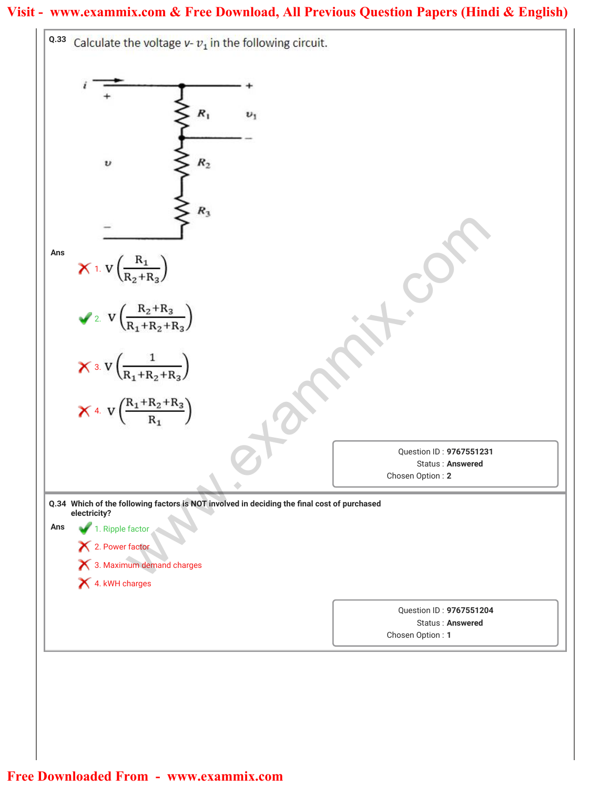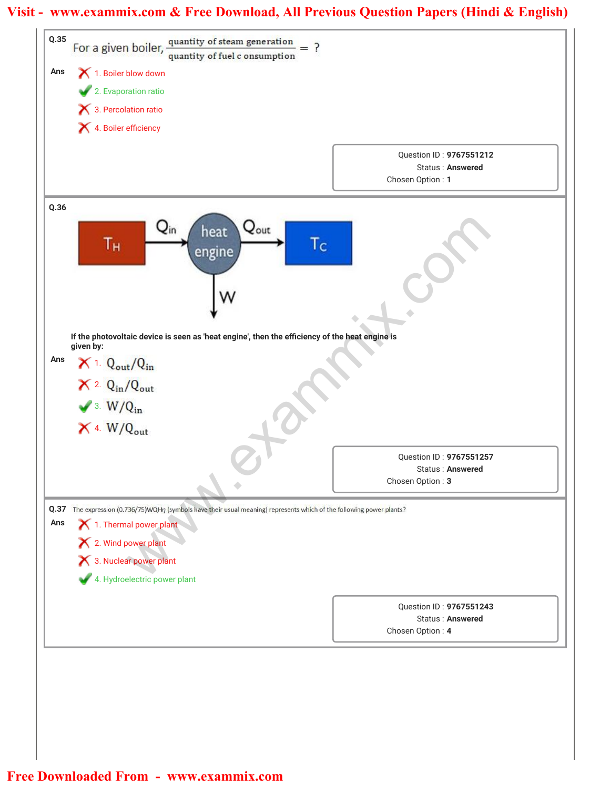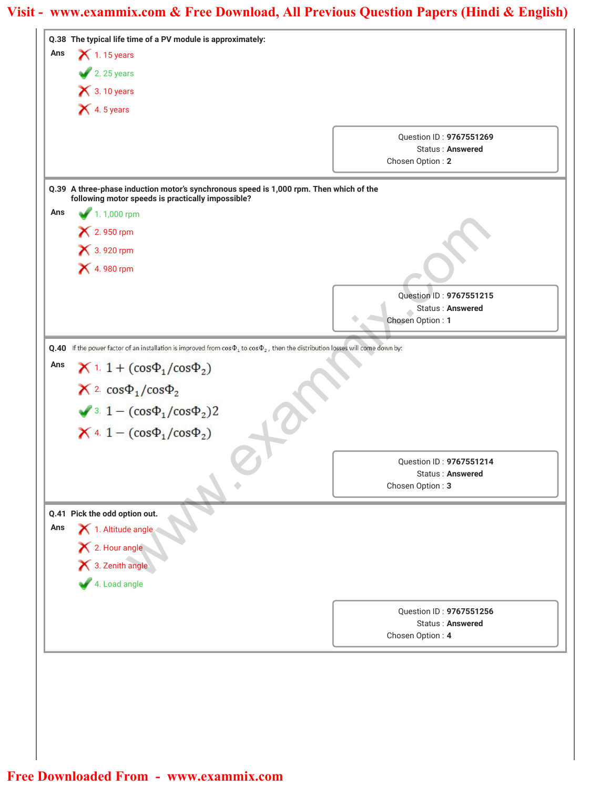|     | Q.38 The typical life time of a PV module is approximately:                                                                                 |                                                    |
|-----|---------------------------------------------------------------------------------------------------------------------------------------------|----------------------------------------------------|
| Ans | $\blacktriangleright$ 1.15 years                                                                                                            |                                                    |
|     | $2.25 \text{ years}$                                                                                                                        |                                                    |
|     | $\bigtimes$ 3.10 years                                                                                                                      |                                                    |
|     | $\bigtimes$ 4.5 years                                                                                                                       |                                                    |
|     |                                                                                                                                             | Question ID: 9767551269                            |
|     |                                                                                                                                             | Status: Answered                                   |
|     |                                                                                                                                             | Chosen Option: 2                                   |
|     | Q.39 A three-phase induction motor's synchronous speed is 1,000 rpm. Then which of the                                                      |                                                    |
| Ans | following motor speeds is practically impossible?<br>$1.1,000$ rpm                                                                          |                                                    |
|     | × 2.950 rpm                                                                                                                                 |                                                    |
|     | × 3.920 rpm                                                                                                                                 |                                                    |
|     | <b>X</b> 4.980 rpm                                                                                                                          |                                                    |
|     |                                                                                                                                             |                                                    |
|     |                                                                                                                                             | Question ID: 9767551215                            |
|     |                                                                                                                                             | Status: Answered<br>Chosen Option: 1               |
|     |                                                                                                                                             |                                                    |
|     | Q.40 If the power factor of an installation is improved from $\cos\Phi_1$ to $\cos\Phi_2$ , then the distribution losses will come down by: |                                                    |
| Ans | <b>X</b> 1. 1 + $(cos\Phi_1 / cos\Phi_2)$                                                                                                   |                                                    |
|     | $X^2$ cos $\Phi_1$ /cos $\Phi_2$                                                                                                            |                                                    |
|     | $\sqrt{3}$ . 1 – $(cos\Phi_1/cos\Phi_2)$ 2                                                                                                  |                                                    |
|     |                                                                                                                                             |                                                    |
|     | $X$ 4. 1 – $(cos \Phi_1 / cos \Phi_2)$                                                                                                      |                                                    |
|     |                                                                                                                                             | Question ID: 9767551214                            |
|     |                                                                                                                                             | Status: Answered                                   |
|     |                                                                                                                                             | Chosen Option: 3                                   |
|     | Q.41 Pick the odd option out.                                                                                                               |                                                    |
| Ans | 1. Altitude angle                                                                                                                           |                                                    |
|     | X 2. Hour angle<br>X 3. Zenith angle                                                                                                        |                                                    |
|     |                                                                                                                                             |                                                    |
|     | 4. Load angle                                                                                                                               |                                                    |
|     |                                                                                                                                             |                                                    |
|     |                                                                                                                                             | Question ID: 9767551256<br><b>Status: Answered</b> |
|     |                                                                                                                                             | Chosen Option: 4                                   |
|     |                                                                                                                                             |                                                    |
|     |                                                                                                                                             |                                                    |
|     |                                                                                                                                             |                                                    |
|     |                                                                                                                                             |                                                    |
|     |                                                                                                                                             |                                                    |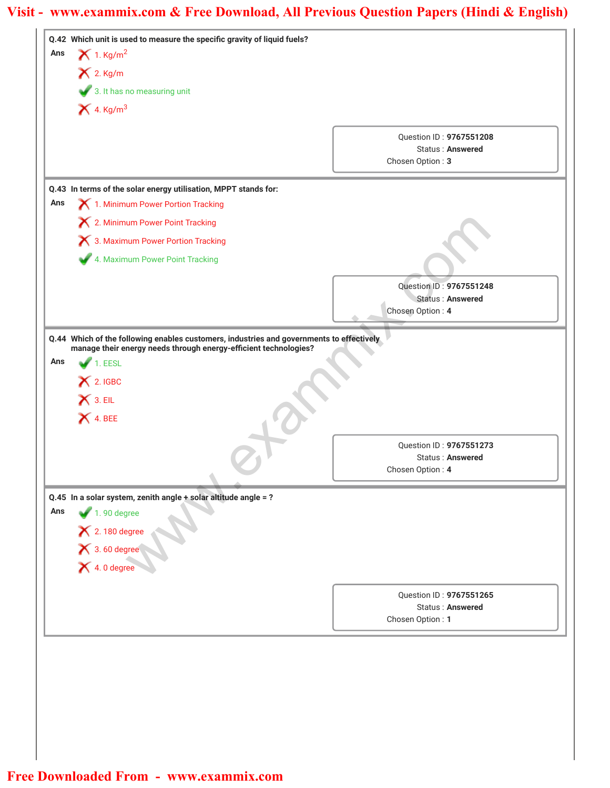| $X$ 2. Kg/m<br>3. It has no measuring unit<br>$X$ 4. Kg/m <sup>3</sup><br>Question ID: 9767551208<br><b>Status: Answered</b><br>Chosen Option: 3<br>Q.43 In terms of the solar energy utilisation, MPPT stands for:<br>1. Minimum Power Portion Tracking<br>Ans<br>X 2. Minimum Power Point Tracking<br>X 3. Maximum Power Portion Tracking<br>4. Maximum Power Point Tracking<br>Question ID: 9767551248<br><b>Status: Answered</b><br>Chosen Option: 4<br>Q.44 Which of the following enables customers, industries and governments to effectively<br>manage their energy needs through energy-efficient technologies?<br>1. EESL<br>$\bigtimes$ 2. IGBC<br>$X$ 3. EIL<br>X 4. BEE<br>Question ID: 9767551273<br>Status: Answered<br>Chosen Option: 4<br>Q.45 In a solar system, zenith angle + solar altitude angle = ?<br>$1.90$ degree<br>X 2.180 degree<br>X 3.60 degree<br>X 4.0 degree<br>Question ID: 9767551265<br>Status: Answered<br>Chosen Option: 1 | Ans | Q.42 Which unit is used to measure the specific gravity of liquid fuels?<br>$X$ 1. Kg/m <sup>2</sup> |  |
|-------------------------------------------------------------------------------------------------------------------------------------------------------------------------------------------------------------------------------------------------------------------------------------------------------------------------------------------------------------------------------------------------------------------------------------------------------------------------------------------------------------------------------------------------------------------------------------------------------------------------------------------------------------------------------------------------------------------------------------------------------------------------------------------------------------------------------------------------------------------------------------------------------------------------------------------------------------------|-----|------------------------------------------------------------------------------------------------------|--|
|                                                                                                                                                                                                                                                                                                                                                                                                                                                                                                                                                                                                                                                                                                                                                                                                                                                                                                                                                                   |     |                                                                                                      |  |
|                                                                                                                                                                                                                                                                                                                                                                                                                                                                                                                                                                                                                                                                                                                                                                                                                                                                                                                                                                   |     |                                                                                                      |  |
|                                                                                                                                                                                                                                                                                                                                                                                                                                                                                                                                                                                                                                                                                                                                                                                                                                                                                                                                                                   |     |                                                                                                      |  |
|                                                                                                                                                                                                                                                                                                                                                                                                                                                                                                                                                                                                                                                                                                                                                                                                                                                                                                                                                                   |     |                                                                                                      |  |
|                                                                                                                                                                                                                                                                                                                                                                                                                                                                                                                                                                                                                                                                                                                                                                                                                                                                                                                                                                   |     |                                                                                                      |  |
|                                                                                                                                                                                                                                                                                                                                                                                                                                                                                                                                                                                                                                                                                                                                                                                                                                                                                                                                                                   |     |                                                                                                      |  |
|                                                                                                                                                                                                                                                                                                                                                                                                                                                                                                                                                                                                                                                                                                                                                                                                                                                                                                                                                                   |     |                                                                                                      |  |
|                                                                                                                                                                                                                                                                                                                                                                                                                                                                                                                                                                                                                                                                                                                                                                                                                                                                                                                                                                   |     |                                                                                                      |  |
|                                                                                                                                                                                                                                                                                                                                                                                                                                                                                                                                                                                                                                                                                                                                                                                                                                                                                                                                                                   |     |                                                                                                      |  |
|                                                                                                                                                                                                                                                                                                                                                                                                                                                                                                                                                                                                                                                                                                                                                                                                                                                                                                                                                                   |     |                                                                                                      |  |
|                                                                                                                                                                                                                                                                                                                                                                                                                                                                                                                                                                                                                                                                                                                                                                                                                                                                                                                                                                   |     |                                                                                                      |  |
|                                                                                                                                                                                                                                                                                                                                                                                                                                                                                                                                                                                                                                                                                                                                                                                                                                                                                                                                                                   |     |                                                                                                      |  |
|                                                                                                                                                                                                                                                                                                                                                                                                                                                                                                                                                                                                                                                                                                                                                                                                                                                                                                                                                                   |     |                                                                                                      |  |
|                                                                                                                                                                                                                                                                                                                                                                                                                                                                                                                                                                                                                                                                                                                                                                                                                                                                                                                                                                   |     |                                                                                                      |  |
|                                                                                                                                                                                                                                                                                                                                                                                                                                                                                                                                                                                                                                                                                                                                                                                                                                                                                                                                                                   |     |                                                                                                      |  |
|                                                                                                                                                                                                                                                                                                                                                                                                                                                                                                                                                                                                                                                                                                                                                                                                                                                                                                                                                                   | Ans |                                                                                                      |  |
|                                                                                                                                                                                                                                                                                                                                                                                                                                                                                                                                                                                                                                                                                                                                                                                                                                                                                                                                                                   |     |                                                                                                      |  |
|                                                                                                                                                                                                                                                                                                                                                                                                                                                                                                                                                                                                                                                                                                                                                                                                                                                                                                                                                                   |     |                                                                                                      |  |
|                                                                                                                                                                                                                                                                                                                                                                                                                                                                                                                                                                                                                                                                                                                                                                                                                                                                                                                                                                   |     |                                                                                                      |  |
|                                                                                                                                                                                                                                                                                                                                                                                                                                                                                                                                                                                                                                                                                                                                                                                                                                                                                                                                                                   |     |                                                                                                      |  |
|                                                                                                                                                                                                                                                                                                                                                                                                                                                                                                                                                                                                                                                                                                                                                                                                                                                                                                                                                                   |     |                                                                                                      |  |
|                                                                                                                                                                                                                                                                                                                                                                                                                                                                                                                                                                                                                                                                                                                                                                                                                                                                                                                                                                   |     |                                                                                                      |  |
|                                                                                                                                                                                                                                                                                                                                                                                                                                                                                                                                                                                                                                                                                                                                                                                                                                                                                                                                                                   |     |                                                                                                      |  |
|                                                                                                                                                                                                                                                                                                                                                                                                                                                                                                                                                                                                                                                                                                                                                                                                                                                                                                                                                                   |     |                                                                                                      |  |
|                                                                                                                                                                                                                                                                                                                                                                                                                                                                                                                                                                                                                                                                                                                                                                                                                                                                                                                                                                   |     |                                                                                                      |  |
|                                                                                                                                                                                                                                                                                                                                                                                                                                                                                                                                                                                                                                                                                                                                                                                                                                                                                                                                                                   | Ans |                                                                                                      |  |
|                                                                                                                                                                                                                                                                                                                                                                                                                                                                                                                                                                                                                                                                                                                                                                                                                                                                                                                                                                   |     |                                                                                                      |  |
|                                                                                                                                                                                                                                                                                                                                                                                                                                                                                                                                                                                                                                                                                                                                                                                                                                                                                                                                                                   |     |                                                                                                      |  |
|                                                                                                                                                                                                                                                                                                                                                                                                                                                                                                                                                                                                                                                                                                                                                                                                                                                                                                                                                                   |     |                                                                                                      |  |
|                                                                                                                                                                                                                                                                                                                                                                                                                                                                                                                                                                                                                                                                                                                                                                                                                                                                                                                                                                   |     |                                                                                                      |  |
|                                                                                                                                                                                                                                                                                                                                                                                                                                                                                                                                                                                                                                                                                                                                                                                                                                                                                                                                                                   |     |                                                                                                      |  |
|                                                                                                                                                                                                                                                                                                                                                                                                                                                                                                                                                                                                                                                                                                                                                                                                                                                                                                                                                                   |     |                                                                                                      |  |
|                                                                                                                                                                                                                                                                                                                                                                                                                                                                                                                                                                                                                                                                                                                                                                                                                                                                                                                                                                   |     |                                                                                                      |  |
|                                                                                                                                                                                                                                                                                                                                                                                                                                                                                                                                                                                                                                                                                                                                                                                                                                                                                                                                                                   |     |                                                                                                      |  |
|                                                                                                                                                                                                                                                                                                                                                                                                                                                                                                                                                                                                                                                                                                                                                                                                                                                                                                                                                                   |     |                                                                                                      |  |
|                                                                                                                                                                                                                                                                                                                                                                                                                                                                                                                                                                                                                                                                                                                                                                                                                                                                                                                                                                   |     |                                                                                                      |  |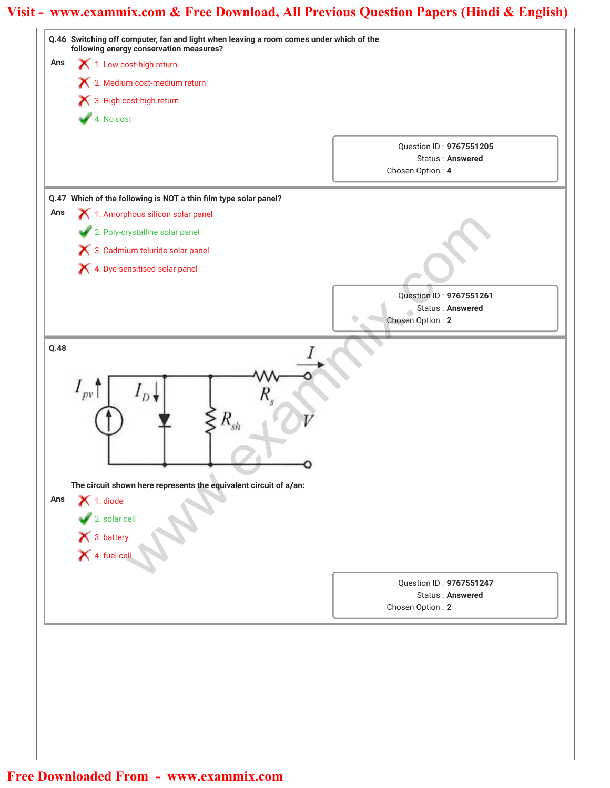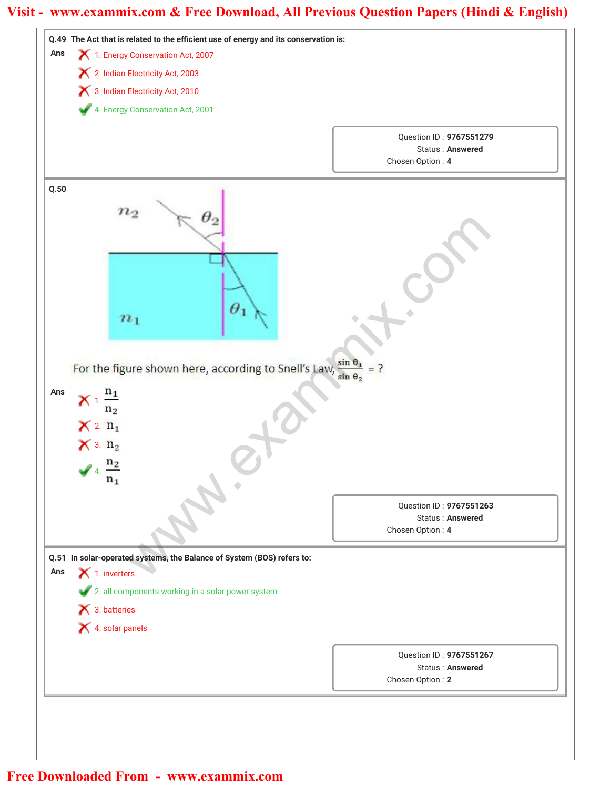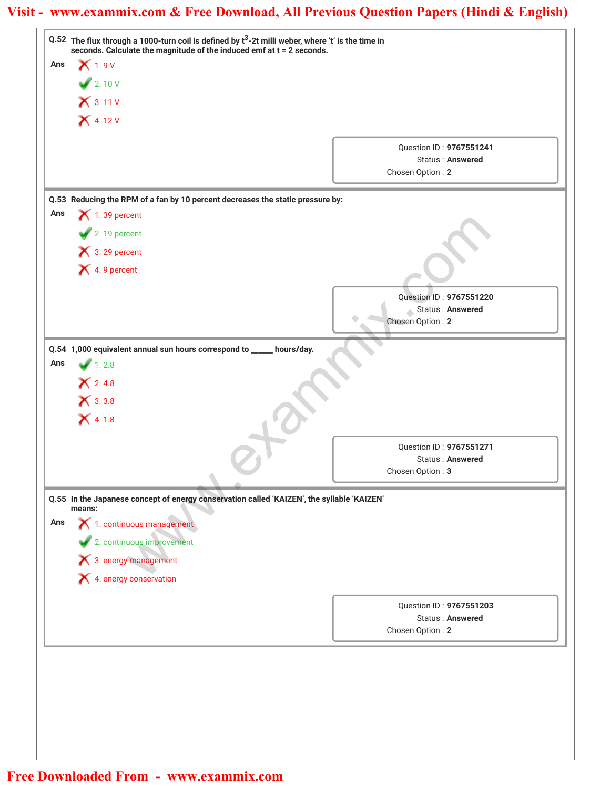|     | Q.52 The flux through a 1000-turn coil is defined by $t^3$ -2t milli weber, where 't' is the time in |                                                    |
|-----|------------------------------------------------------------------------------------------------------|----------------------------------------------------|
| Ans | seconds. Calculate the magnitude of the induced emf at t = 2 seconds.<br>$X$ 1.9 V                   |                                                    |
|     | 2.10V                                                                                                |                                                    |
|     | $X$ 3.11 V                                                                                           |                                                    |
|     | $X$ 4.12 V                                                                                           |                                                    |
|     |                                                                                                      |                                                    |
|     |                                                                                                      | Question ID: 9767551241                            |
|     |                                                                                                      | <b>Status: Answered</b><br>Chosen Option: 2        |
|     |                                                                                                      |                                                    |
|     | Q.53 Reducing the RPM of a fan by 10 percent decreases the static pressure by:                       |                                                    |
| Ans | $\blacktriangleright$ 1.39 percent                                                                   |                                                    |
|     | $\blacktriangleright$ 2.19 percent                                                                   |                                                    |
|     | $\bigtimes$ 3. 29 percent                                                                            |                                                    |
|     | X 4.9 percent                                                                                        |                                                    |
|     |                                                                                                      | Question ID: 9767551220                            |
|     |                                                                                                      | Status: Answered                                   |
|     |                                                                                                      | Chosen Option: 2                                   |
|     | Q.54 1,000 equivalent annual sun hours correspond to _____                                           | hours/day.                                         |
| Ans | 1.2.8                                                                                                |                                                    |
|     | $X$ 2.4.8                                                                                            |                                                    |
|     | $X$ 3.3.8                                                                                            |                                                    |
|     | $X$ 4.1.8                                                                                            |                                                    |
|     |                                                                                                      |                                                    |
|     |                                                                                                      | Ouestion ID: 9767551271<br><b>Status: Answered</b> |
|     |                                                                                                      | Chosen Option: 3                                   |
|     |                                                                                                      |                                                    |
|     | Q.55 In the Japanese concept of energy conservation called 'KAIZEN', the syllable 'KAIZEN'<br>means: |                                                    |
| Ans | 1. continuous management                                                                             |                                                    |
|     | 2. continuous improvement                                                                            |                                                    |
|     | × 3. energy management                                                                               |                                                    |
|     | X 4. energy conservation                                                                             |                                                    |
|     |                                                                                                      |                                                    |
|     |                                                                                                      | Question ID: 9767551203                            |
|     |                                                                                                      | <b>Status: Answered</b><br>Chosen Option: 2        |
|     |                                                                                                      |                                                    |
|     |                                                                                                      |                                                    |
|     |                                                                                                      |                                                    |
|     |                                                                                                      |                                                    |
|     |                                                                                                      |                                                    |
|     |                                                                                                      |                                                    |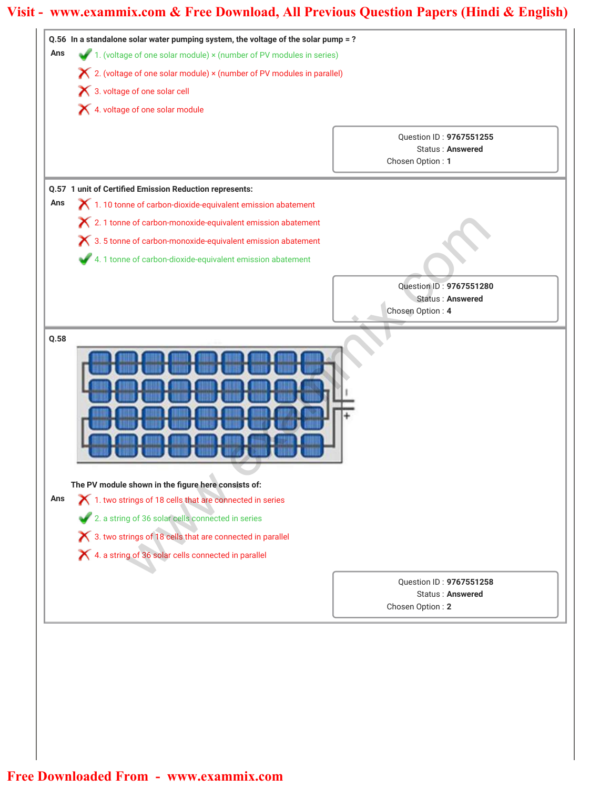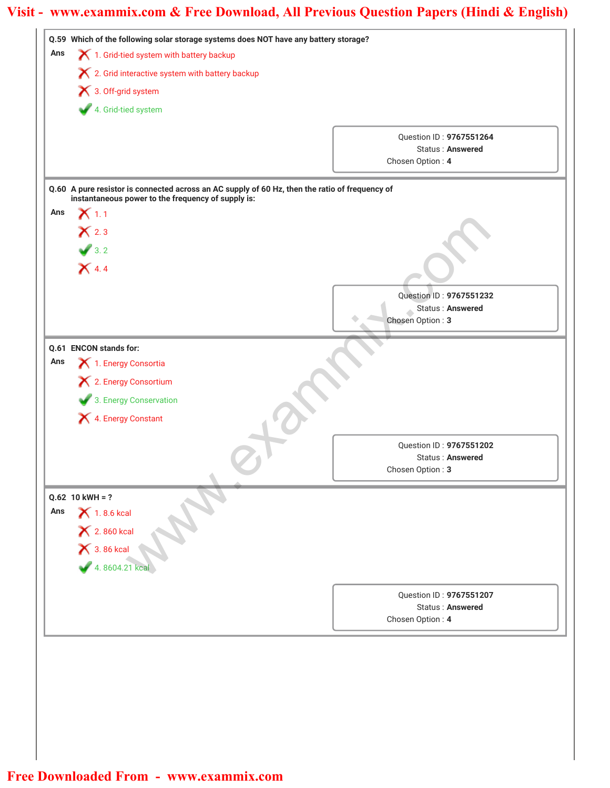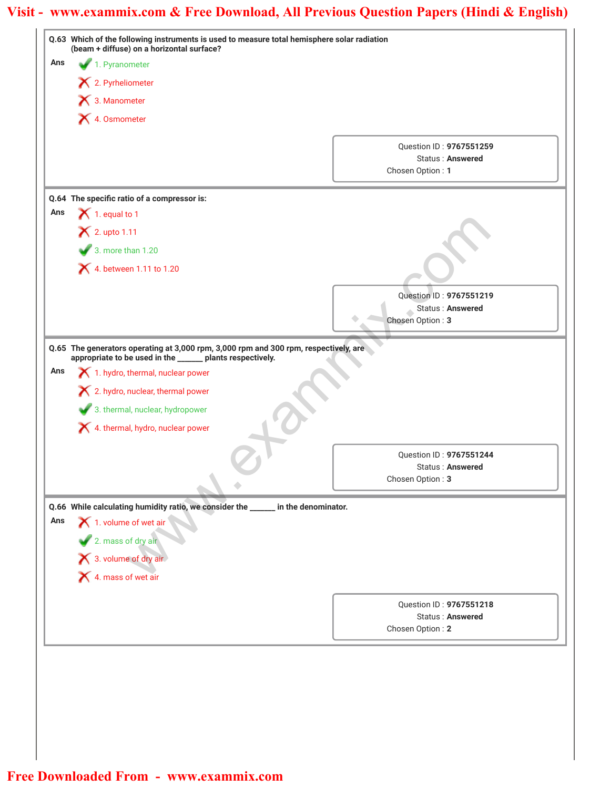|     | Q.63 Which of the following instruments is used to measure total hemisphere solar radiation<br>(beam + diffuse) on a horizontal surface? |                                                                 |  |
|-----|------------------------------------------------------------------------------------------------------------------------------------------|-----------------------------------------------------------------|--|
| Ans | 1. Pyranometer                                                                                                                           |                                                                 |  |
|     | $\mathsf{\times}$ 2. Pyrheliometer                                                                                                       |                                                                 |  |
|     | 3. Manometer                                                                                                                             |                                                                 |  |
|     | X 4. Osmometer                                                                                                                           |                                                                 |  |
|     |                                                                                                                                          |                                                                 |  |
|     |                                                                                                                                          | Question ID: 9767551259<br>Status: Answered                     |  |
|     |                                                                                                                                          | Chosen Option: 1                                                |  |
|     |                                                                                                                                          |                                                                 |  |
| Ans | Q.64 The specific ratio of a compressor is:<br>$\blacktriangleright$ 1. equal to 1                                                       |                                                                 |  |
|     | $\mathsf{\times}$ 2. upto 1.11                                                                                                           |                                                                 |  |
|     |                                                                                                                                          |                                                                 |  |
|     | 3. more than 1.20                                                                                                                        |                                                                 |  |
|     | 4. between 1.11 to 1.20                                                                                                                  |                                                                 |  |
|     |                                                                                                                                          | Question ID: 9767551219                                         |  |
|     |                                                                                                                                          | Status: Answered                                                |  |
|     |                                                                                                                                          | Chosen Option: 3                                                |  |
|     | 2. hydro, nuclear, thermal power<br>3. thermal, nuclear, hydropower<br>4. thermal, hydro, nuclear power                                  | Question ID: 9767551244<br>Status: Answered<br>Chosen Option: 3 |  |
| Ans | Q.66 While calculating humidity ratio, we consider the _____ in the denominator.                                                         |                                                                 |  |
|     | 1. volume of wet air                                                                                                                     |                                                                 |  |
|     |                                                                                                                                          |                                                                 |  |
|     |                                                                                                                                          |                                                                 |  |
|     |                                                                                                                                          |                                                                 |  |
|     |                                                                                                                                          | Question ID: 9767551218                                         |  |
|     |                                                                                                                                          | Status: Answered                                                |  |
|     |                                                                                                                                          | Chosen Option: 2                                                |  |
|     | 2. mass of dry air<br>3. volume of dry air<br>4. mass of wet air                                                                         |                                                                 |  |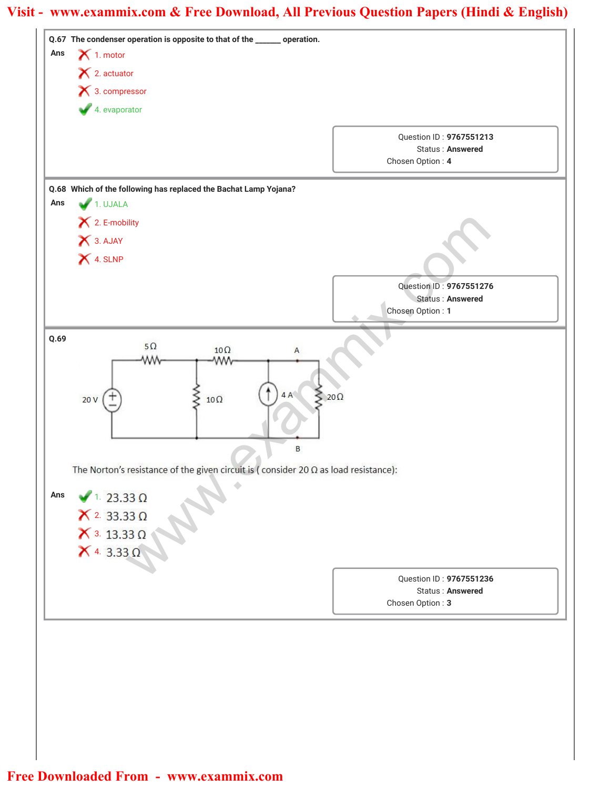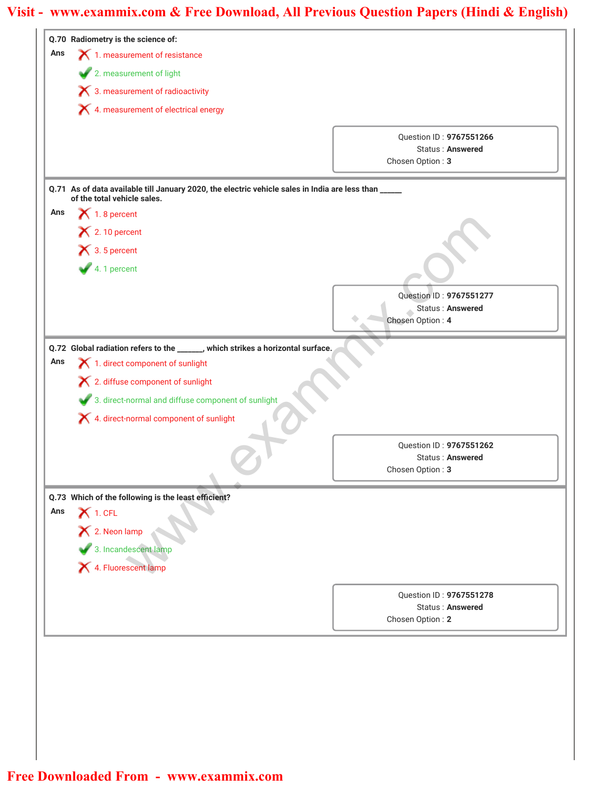|     | Q.70 Radiometry is the science of:                                                                                                  |                                             |
|-----|-------------------------------------------------------------------------------------------------------------------------------------|---------------------------------------------|
| Ans | 1. measurement of resistance                                                                                                        |                                             |
|     | 2. measurement of light                                                                                                             |                                             |
|     | $\boldsymbol{\times}$ 3. measurement of radioactivity                                                                               |                                             |
|     | X 4. measurement of electrical energy                                                                                               |                                             |
|     |                                                                                                                                     |                                             |
|     |                                                                                                                                     | Question ID: 9767551266<br>Status: Answered |
|     |                                                                                                                                     | Chosen Option: 3                            |
|     |                                                                                                                                     |                                             |
|     | Q.71 As of data available till January 2020, the electric vehicle sales in India are less than _____<br>of the total vehicle sales. |                                             |
| Ans | $\bigtimes$ 1.8 percent                                                                                                             |                                             |
|     | $\blacktriangleright$ 2.10 percent                                                                                                  |                                             |
|     | $\bigtimes$ 3.5 percent                                                                                                             |                                             |
|     | $4.1$ percent                                                                                                                       |                                             |
|     |                                                                                                                                     |                                             |
|     |                                                                                                                                     | Question ID: 9767551277                     |
|     |                                                                                                                                     | Status: Answered<br>Chosen Option: 4        |
|     |                                                                                                                                     |                                             |
|     | Q.72 Global radiation refers to the ______, which strikes a horizontal surface.                                                     |                                             |
| Ans | X 1. direct component of sunlight                                                                                                   |                                             |
|     | X 2. diffuse component of sunlight                                                                                                  |                                             |
|     | 3. direct-normal and diffuse component of sunlight                                                                                  |                                             |
|     | X 4. direct-normal component of sunlight                                                                                            |                                             |
|     |                                                                                                                                     |                                             |
|     |                                                                                                                                     | Question ID: 9767551262<br>Status: Answered |
|     |                                                                                                                                     | Chosen Option: 3                            |
|     |                                                                                                                                     |                                             |
| Ans | Q.73 Which of the following is the least efficient?<br>$\boldsymbol{\times}$ 1. CFL                                                 |                                             |
|     |                                                                                                                                     |                                             |
|     | X 2. Neon lamp                                                                                                                      |                                             |
|     | 3. Incandescent lamp                                                                                                                |                                             |
|     | 4. Fluorescent lamp                                                                                                                 |                                             |
|     |                                                                                                                                     | Question ID: 9767551278                     |
|     |                                                                                                                                     | Status: Answered                            |
|     |                                                                                                                                     | Chosen Option: 2                            |
|     |                                                                                                                                     |                                             |
|     |                                                                                                                                     |                                             |
|     |                                                                                                                                     |                                             |
|     |                                                                                                                                     |                                             |
|     |                                                                                                                                     |                                             |
|     |                                                                                                                                     |                                             |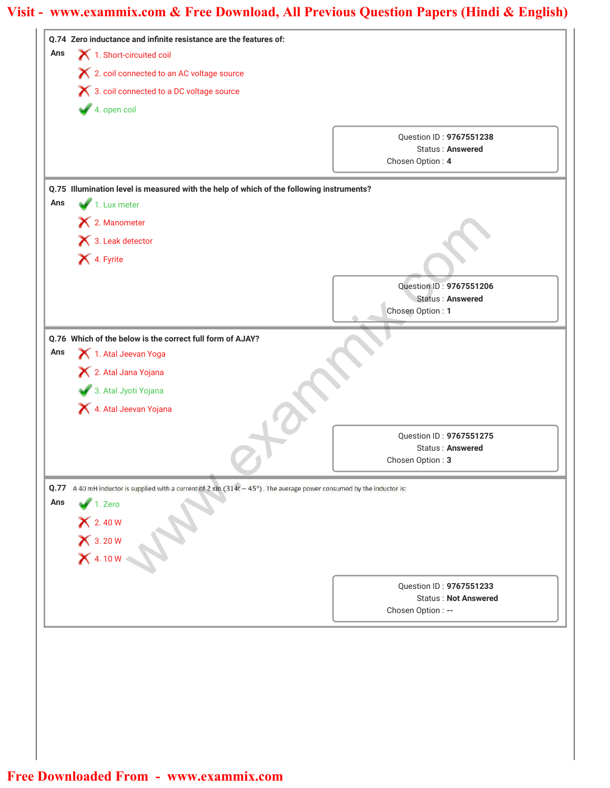|     | Q.74 Zero inductance and infinite resistance are the features of:<br>1. Short-circuited coil                                   |                                                  |  |
|-----|--------------------------------------------------------------------------------------------------------------------------------|--------------------------------------------------|--|
| Ans | X 2. coil connected to an AC voltage source                                                                                    |                                                  |  |
|     | X 3. coil connected to a DC voltage source                                                                                     |                                                  |  |
|     | $4.$ open coil                                                                                                                 |                                                  |  |
|     |                                                                                                                                |                                                  |  |
|     |                                                                                                                                | Question ID: 9767551238                          |  |
|     |                                                                                                                                | Status: Answered<br>Chosen Option: 4             |  |
|     |                                                                                                                                |                                                  |  |
|     | Q.75 Illumination level is measured with the help of which of the following instruments?                                       |                                                  |  |
| Ans | 1. Lux meter                                                                                                                   |                                                  |  |
|     | X 2. Manometer                                                                                                                 |                                                  |  |
|     | 3. Leak detector                                                                                                               |                                                  |  |
|     | 4. Fyrite                                                                                                                      |                                                  |  |
|     |                                                                                                                                | Question ID: 9767551206                          |  |
|     |                                                                                                                                | Status: Answered                                 |  |
|     |                                                                                                                                | Chosen Option: 1                                 |  |
|     | Q.76 Which of the below is the correct full form of AJAY?                                                                      |                                                  |  |
| Ans | 1. Atal Jeevan Yoga                                                                                                            |                                                  |  |
|     | X 2. Atal Jana Yojana                                                                                                          |                                                  |  |
|     | 3. Atal Jyoti Yojana                                                                                                           |                                                  |  |
|     | 4. Atal Jeevan Yojana                                                                                                          |                                                  |  |
|     |                                                                                                                                | Question ID: 9767551275                          |  |
|     |                                                                                                                                | <b>Status: Answered</b>                          |  |
|     |                                                                                                                                | Chosen Option: 3                                 |  |
|     |                                                                                                                                |                                                  |  |
|     |                                                                                                                                |                                                  |  |
| Ans | Q.77 A 40 mH inductor is supplied with a current of 2 $\sin(314t - 45^\circ)$ . The average power consumed by the inductor is: |                                                  |  |
|     | $1.$ Zero                                                                                                                      |                                                  |  |
|     |                                                                                                                                |                                                  |  |
|     |                                                                                                                                |                                                  |  |
|     | X 2.40 W<br>X 3.20 W<br>X 4.10 W                                                                                               |                                                  |  |
|     |                                                                                                                                | Question ID: 9767551233                          |  |
|     |                                                                                                                                | <b>Status: Not Answered</b><br>Chosen Option: -- |  |